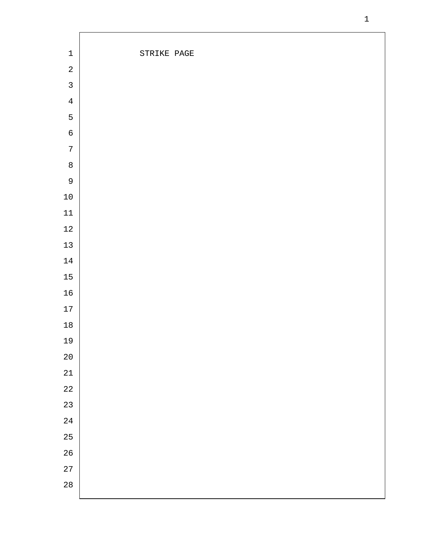| $\mathbf 1$    | STRIKE PAGE |
|----------------|-------------|
| $\overline{a}$ |             |
| $\overline{3}$ |             |
| $\overline{4}$ |             |
| $\overline{5}$ |             |
| $\mathbf 6$    |             |
| $\sqrt{ }$     |             |
| $\,8\,$        |             |
| $\mathsf{S}$   |             |
| $1\,0$         |             |
| $11\,$         |             |
| $1\sqrt{2}$    |             |
| $13$           |             |
| $14\,$         |             |
| $15\,$         |             |
| $16\,$         |             |
| $17\,$         |             |
| $18\,$         |             |
| 19             |             |
| $2\,0$         |             |
| $21\,$         |             |
| $2\sqrt{2}$    |             |
| 23             |             |
| $2\sqrt{4}$    |             |
| 25             |             |
| $26$           |             |
| 27             |             |
| $2\,8$         |             |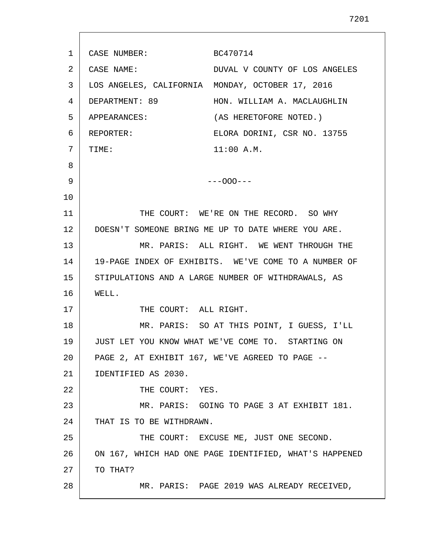1 2 3 4 5 6 7 8 9 10 11 12 13 14 15 16 17 18 19 20 21 22 23 24 25 26 27 28 CASE NUMBER: BC470714 CASE NAME: DUVAL V COUNTY OF LOS ANGELES LOS ANGELES, CALIFORNIA MONDAY, OCTOBER 17, 2016 DEPARTMENT: 89 HON. WILLIAM A. MACLAUGHLIN APPEARANCES: (AS HERETOFORE NOTED.) REPORTER: ELORA DORINI, CSR NO. 13755 TIME: 11:00 A.M. ---OOO--- THE COURT: WE'RE ON THE RECORD. SO WHY DOESN'T SOMEONE BRING ME UP TO DATE WHERE YOU ARE. MR. PARIS: ALL RIGHT. WE WENT THROUGH THE 19-PAGE INDEX OF EXHIBITS. WE'VE COME TO A NUMBER OF STIPULATIONS AND A LARGE NUMBER OF WITHDRAWALS, AS WELL. THE COURT: ALL RIGHT. MR. PARIS: SO AT THIS POINT, I GUESS, I'LL JUST LET YOU KNOW WHAT WE'VE COME TO. STARTING ON PAGE 2, AT EXHIBIT 167, WE'VE AGREED TO PAGE --IDENTIFIED AS 2030. THE COURT: YES. MR. PARIS: GOING TO PAGE 3 AT EXHIBIT 181. THAT IS TO BE WITHDRAWN. THE COURT: EXCUSE ME, JUST ONE SECOND. ON 167, WHICH HAD ONE PAGE IDENTIFIED, WHAT'S HAPPENED TO THAT? MR. PARIS: PAGE 2019 WAS ALREADY RECEIVED,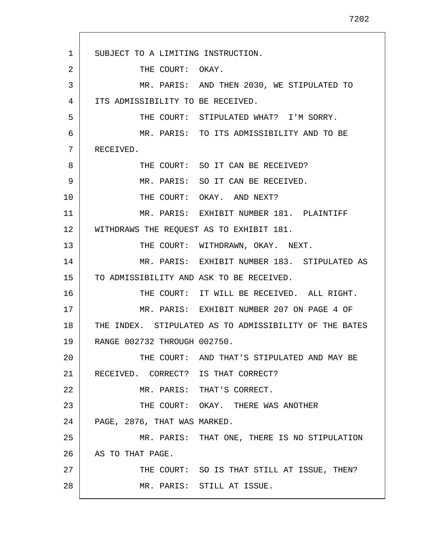1 2 3 4 5 6 7 8 9 10 11 12 13 14 15 16 17 18 19 20 21 22 23 24 25 26 27 28 SUBJECT TO A LIMITING INSTRUCTION. THE COURT: OKAY. MR. PARIS: AND THEN 2030, WE STIPULATED TO ITS ADMISSIBILITY TO BE RECEIVED. THE COURT: STIPULATED WHAT? I'M SORRY. MR. PARIS: TO ITS ADMISSIBILITY AND TO BE RECEIVED. THE COURT: SO IT CAN BE RECEIVED? MR. PARIS: SO IT CAN BE RECEIVED. THE COURT: OKAY. AND NEXT? MR. PARIS: EXHIBIT NUMBER 181. PLAINTIFF WITHDRAWS THE REQUEST AS TO EXHIBIT 181. THE COURT: WITHDRAWN, OKAY. NEXT. MR. PARIS: EXHIBIT NUMBER 183. STIPULATED AS TO ADMISSIBILITY AND ASK TO BE RECEIVED. THE COURT: IT WILL BE RECEIVED. ALL RIGHT. MR. PARIS: EXHIBIT NUMBER 207 ON PAGE 4 OF THE INDEX. STIPULATED AS TO ADMISSIBILITY OF THE BATES RANGE 002732 THROUGH 002750. THE COURT: AND THAT'S STIPULATED AND MAY BE RECEIVED. CORRECT? IS THAT CORRECT? MR. PARIS: THAT'S CORRECT. THE COURT: OKAY. THERE WAS ANOTHER PAGE, 2876, THAT WAS MARKED. MR. PARIS: THAT ONE, THERE IS NO STIPULATION AS TO THAT PAGE. THE COURT: SO IS THAT STILL AT ISSUE, THEN? MR. PARIS: STILL AT ISSUE.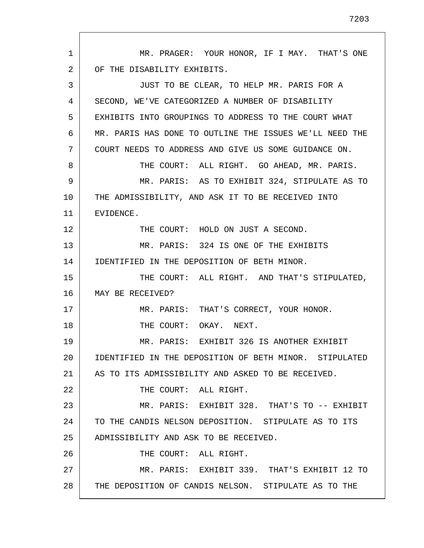1 2 3 4 5 6 7 8 9 10 11 12 13 14 15 16 17 18 19 20 21 22 23 24 25 26 27 28 MR. PRAGER: YOUR HONOR, IF I MAY. THAT'S ONE OF THE DISABILITY EXHIBITS. JUST TO BE CLEAR, TO HELP MR. PARIS FOR A SECOND, WE'VE CATEGORIZED A NUMBER OF DISABILITY EXHIBITS INTO GROUPINGS TO ADDRESS TO THE COURT WHAT MR. PARIS HAS DONE TO OUTLINE THE ISSUES WE'LL NEED THE COURT NEEDS TO ADDRESS AND GIVE US SOME GUIDANCE ON. THE COURT: ALL RIGHT. GO AHEAD, MR. PARIS. MR. PARIS: AS TO EXHIBIT 324, STIPULATE AS TO THE ADMISSIBILITY, AND ASK IT TO BE RECEIVED INTO EVIDENCE. THE COURT: HOLD ON JUST A SECOND. MR. PARIS: 324 IS ONE OF THE EXHIBITS IDENTIFIED IN THE DEPOSITION OF BETH MINOR. THE COURT: ALL RIGHT. AND THAT'S STIPULATED, MAY BE RECEIVED? MR. PARIS: THAT'S CORRECT, YOUR HONOR. THE COURT: OKAY. NEXT. MR. PARIS: EXHIBIT 326 IS ANOTHER EXHIBIT IDENTIFIED IN THE DEPOSITION OF BETH MINOR. STIPULATED AS TO ITS ADMISSIBILITY AND ASKED TO BE RECEIVED. THE COURT: ALL RIGHT. MR. PARIS: EXHIBIT 328. THAT'S TO -- EXHIBIT TO THE CANDIS NELSON DEPOSITION. STIPULATE AS TO ITS ADMISSIBILITY AND ASK TO BE RECEIVED. THE COURT: ALL RIGHT. MR. PARIS: EXHIBIT 339. THAT'S EXHIBIT 12 TO THE DEPOSITION OF CANDIS NELSON. STIPULATE AS TO THE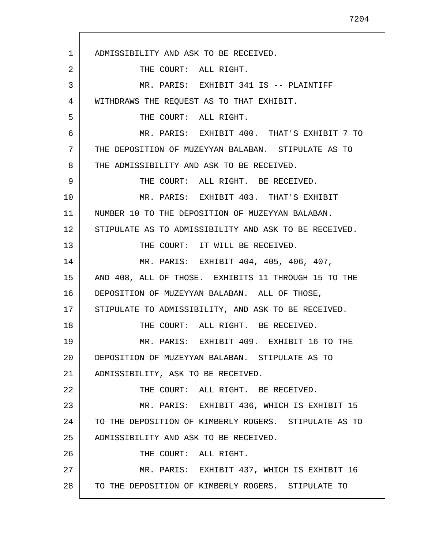1 2 3 4 5 6 7 8 9 10 11 12 13 14 15 16 17 18 19 20 21 22 23 24 25 26 27 28 ADMISSIBILITY AND ASK TO BE RECEIVED. THE COURT: ALL RIGHT. MR. PARIS: EXHIBIT 341 IS -- PLAINTIFF WITHDRAWS THE REQUEST AS TO THAT EXHIBIT. THE COURT: ALL RIGHT. MR. PARIS: EXHIBIT 400. THAT'S EXHIBIT 7 TO THE DEPOSITION OF MUZEYYAN BALABAN. STIPULATE AS TO THE ADMISSIBILITY AND ASK TO BE RECEIVED. THE COURT: ALL RIGHT. BE RECEIVED. MR. PARIS: EXHIBIT 403. THAT'S EXHIBIT NUMBER 10 TO THE DEPOSITION OF MUZEYYAN BALABAN. STIPULATE AS TO ADMISSIBILITY AND ASK TO BE RECEIVED. THE COURT: IT WILL BE RECEIVED. MR. PARIS: EXHIBIT 404, 405, 406, 407, AND 408, ALL OF THOSE. EXHIBITS 11 THROUGH 15 TO THE DEPOSITION OF MUZEYYAN BALABAN. ALL OF THOSE, STIPULATE TO ADMISSIBILITY, AND ASK TO BE RECEIVED. THE COURT: ALL RIGHT. BE RECEIVED. MR. PARIS: EXHIBIT 409. EXHIBIT 16 TO THE DEPOSITION OF MUZEYYAN BALABAN. STIPULATE AS TO ADMISSIBILITY, ASK TO BE RECEIVED. THE COURT: ALL RIGHT. BE RECEIVED. MR. PARIS: EXHIBIT 436, WHICH IS EXHIBIT 15 TO THE DEPOSITION OF KIMBERLY ROGERS. STIPULATE AS TO ADMISSIBILITY AND ASK TO BE RECEIVED. THE COURT: ALL RIGHT. MR. PARIS: EXHIBIT 437, WHICH IS EXHIBIT 16 TO THE DEPOSITION OF KIMBERLY ROGERS. STIPULATE TO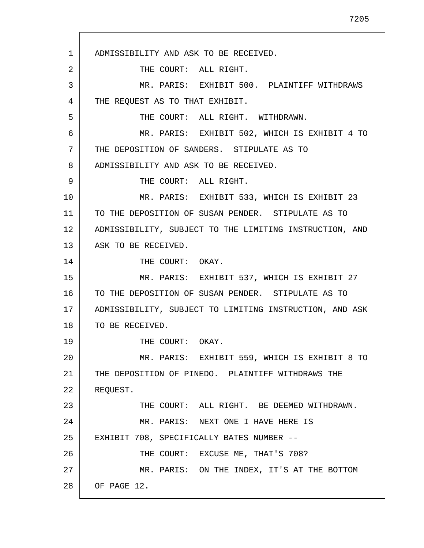1 2 3 4 5 6 7 8 9 10 11 12 13 14 15 16 17 18 19 20 21 22 23 24 25 26 27 28 ADMISSIBILITY AND ASK TO BE RECEIVED. THE COURT: ALL RIGHT. MR. PARIS: EXHIBIT 500. PLAINTIFF WITHDRAWS THE REQUEST AS TO THAT EXHIBIT. THE COURT: ALL RIGHT. WITHDRAWN. MR. PARIS: EXHIBIT 502, WHICH IS EXHIBIT 4 TO THE DEPOSITION OF SANDERS. STIPULATE AS TO ADMISSIBILITY AND ASK TO BE RECEIVED. THE COURT: ALL RIGHT. MR. PARIS: EXHIBIT 533, WHICH IS EXHIBIT 23 TO THE DEPOSITION OF SUSAN PENDER. STIPULATE AS TO ADMISSIBILITY, SUBJECT TO THE LIMITING INSTRUCTION, AND ASK TO BE RECEIVED. THE COURT: OKAY. MR. PARIS: EXHIBIT 537, WHICH IS EXHIBIT 27 TO THE DEPOSITION OF SUSAN PENDER. STIPULATE AS TO ADMISSIBILITY, SUBJECT TO LIMITING INSTRUCTION, AND ASK TO BE RECEIVED. THE COURT: OKAY. MR. PARIS: EXHIBIT 559, WHICH IS EXHIBIT 8 TO THE DEPOSITION OF PINEDO. PLAINTIFF WITHDRAWS THE REQUEST. THE COURT: ALL RIGHT. BE DEEMED WITHDRAWN. MR. PARIS: NEXT ONE I HAVE HERE IS EXHIBIT 708, SPECIFICALLY BATES NUMBER -- THE COURT: EXCUSE ME, THAT'S 708? MR. PARIS: ON THE INDEX, IT'S AT THE BOTTOM OF PAGE 12.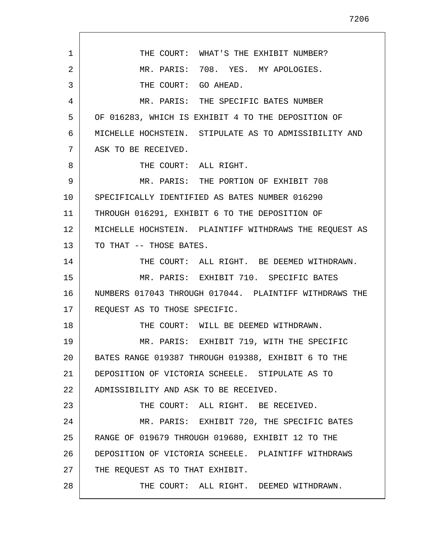| $\mathbf{1}$ | THE COURT: WHAT'S THE EXHIBIT NUMBER?                  |
|--------------|--------------------------------------------------------|
| 2            | MR. PARIS: 708. YES. MY APOLOGIES.                     |
| 3            | THE COURT: GO AHEAD.                                   |
| 4            | MR. PARIS: THE SPECIFIC BATES NUMBER                   |
| 5            | OF 016283, WHICH IS EXHIBIT 4 TO THE DEPOSITION OF     |
| 6            | MICHELLE HOCHSTEIN. STIPULATE AS TO ADMISSIBILITY AND  |
| 7            | ASK TO BE RECEIVED.                                    |
| 8            | THE COURT: ALL RIGHT.                                  |
| 9            | MR. PARIS: THE PORTION OF EXHIBIT 708                  |
| $10 \,$      | SPECIFICALLY IDENTIFIED AS BATES NUMBER 016290         |
| 11           | THROUGH 016291, EXHIBIT 6 TO THE DEPOSITION OF         |
| 12           | MICHELLE HOCHSTEIN. PLAINTIFF WITHDRAWS THE REQUEST AS |
| 13           | TO THAT -- THOSE BATES.                                |
| 14           | THE COURT: ALL RIGHT. BE DEEMED WITHDRAWN.             |
| 15           | MR. PARIS: EXHIBIT 710. SPECIFIC BATES                 |
| 16           | NUMBERS 017043 THROUGH 017044. PLAINTIFF WITHDRAWS THE |
| 17           | REQUEST AS TO THOSE SPECIFIC.                          |
| 18           | THE COURT: WILL BE DEEMED WITHDRAWN.                   |
| 19           | MR. PARIS: EXHIBIT 719, WITH THE SPECIFIC              |
| 20           | BATES RANGE 019387 THROUGH 019388, EXHIBIT 6 TO THE    |
| 21           | DEPOSITION OF VICTORIA SCHEELE. STIPULATE AS TO        |
| 22           | ADMISSIBILITY AND ASK TO BE RECEIVED.                  |
| 23           | THE COURT: ALL RIGHT. BE RECEIVED.                     |
| 24           | MR. PARIS: EXHIBIT 720, THE SPECIFIC BATES             |
| 25           | RANGE OF 019679 THROUGH 019680, EXHIBIT 12 TO THE      |
| 26           | DEPOSITION OF VICTORIA SCHEELE. PLAINTIFF WITHDRAWS    |
| 27           | THE REQUEST AS TO THAT EXHIBIT.                        |
| 28           | THE COURT: ALL RIGHT. DEEMED WITHDRAWN.                |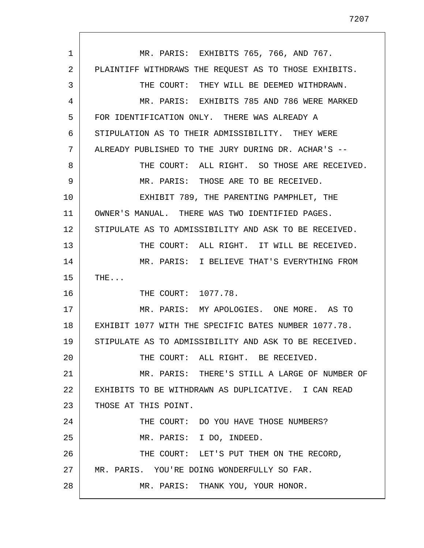1 2 3 4 5 6 7 8 9 10 11 12 13 14 15 16 17 18 19 20 21 22 23 24 25 26 27 28 MR. PARIS: EXHIBITS 765, 766, AND 767. PLAINTIFF WITHDRAWS THE REQUEST AS TO THOSE EXHIBITS. THE COURT: THEY WILL BE DEEMED WITHDRAWN. MR. PARIS: EXHIBITS 785 AND 786 WERE MARKED FOR IDENTIFICATION ONLY. THERE WAS ALREADY A STIPULATION AS TO THEIR ADMISSIBILITY. THEY WERE ALREADY PUBLISHED TO THE JURY DURING DR. ACHAR'S -- THE COURT: ALL RIGHT. SO THOSE ARE RECEIVED. MR. PARIS: THOSE ARE TO BE RECEIVED. EXHIBIT 789, THE PARENTING PAMPHLET, THE OWNER'S MANUAL. THERE WAS TWO IDENTIFIED PAGES. STIPULATE AS TO ADMISSIBILITY AND ASK TO BE RECEIVED. THE COURT: ALL RIGHT. IT WILL BE RECEIVED. MR. PARIS: I BELIEVE THAT'S EVERYTHING FROM THE... THE COURT: 1077.78. MR. PARIS: MY APOLOGIES. ONE MORE. AS TO EXHIBIT 1077 WITH THE SPECIFIC BATES NUMBER 1077.78. STIPULATE AS TO ADMISSIBILITY AND ASK TO BE RECEIVED. THE COURT: ALL RIGHT. BE RECEIVED. MR. PARIS: THERE'S STILL A LARGE OF NUMBER OF EXHIBITS TO BE WITHDRAWN AS DUPLICATIVE. I CAN READ THOSE AT THIS POINT. THE COURT: DO YOU HAVE THOSE NUMBERS? MR. PARIS: I DO, INDEED. THE COURT: LET'S PUT THEM ON THE RECORD, MR. PARIS. YOU'RE DOING WONDERFULLY SO FAR. MR. PARIS: THANK YOU, YOUR HONOR.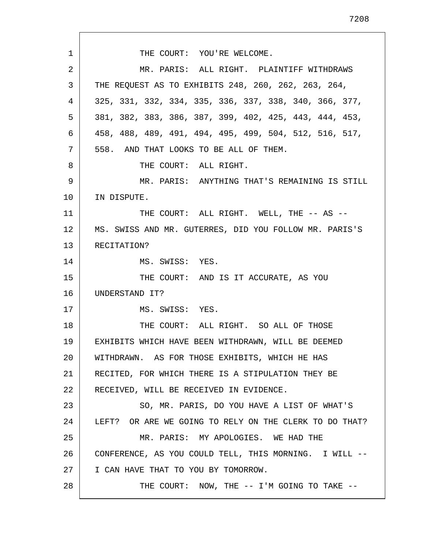1 2 3 4 5 6 7 8 9 10 11 12 13 14 15 16 17 18 19 20 21 22 23 24 25 26 27 28 THE COURT: YOU'RE WELCOME. MR. PARIS: ALL RIGHT. PLAINTIFF WITHDRAWS THE REQUEST AS TO EXHIBITS 248, 260, 262, 263, 264, 325, 331, 332, 334, 335, 336, 337, 338, 340, 366, 377, 381, 382, 383, 386, 387, 399, 402, 425, 443, 444, 453, 458, 488, 489, 491, 494, 495, 499, 504, 512, 516, 517, 558. AND THAT LOOKS TO BE ALL OF THEM. THE COURT: ALL RIGHT. MR. PARIS: ANYTHING THAT'S REMAINING IS STILL IN DISPUTE. THE COURT: ALL RIGHT. WELL, THE -- AS -- MS. SWISS AND MR. GUTERRES, DID YOU FOLLOW MR. PARIS'S RECITATION? MS. SWISS: YES. THE COURT: AND IS IT ACCURATE, AS YOU UNDERSTAND IT? MS. SWISS: YES. THE COURT: ALL RIGHT. SO ALL OF THOSE EXHIBITS WHICH HAVE BEEN WITHDRAWN, WILL BE DEEMED WITHDRAWN. AS FOR THOSE EXHIBITS, WHICH HE HAS RECITED, FOR WHICH THERE IS A STIPULATION THEY BE RECEIVED, WILL BE RECEIVED IN EVIDENCE. SO, MR. PARIS, DO YOU HAVE A LIST OF WHAT'S LEFT? OR ARE WE GOING TO RELY ON THE CLERK TO DO THAT? MR. PARIS: MY APOLOGIES. WE HAD THE CONFERENCE, AS YOU COULD TELL, THIS MORNING. I WILL -- I CAN HAVE THAT TO YOU BY TOMORROW. THE COURT: NOW, THE -- I'M GOING TO TAKE --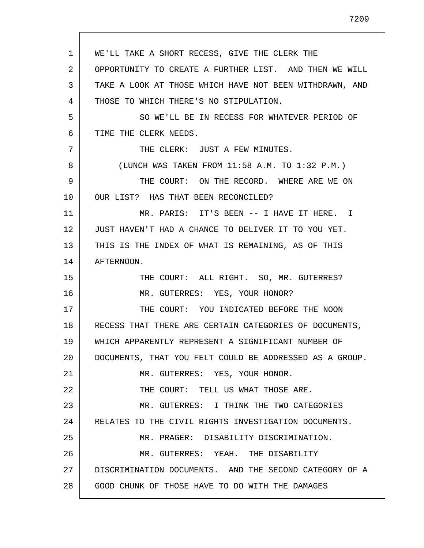1 2 3 4 5 6 7 8 9 10 11 12 13 14 15 16 17 18 19 20 21 22 23 24 25 26 27 28 WE'LL TAKE A SHORT RECESS, GIVE THE CLERK THE OPPORTUNITY TO CREATE A FURTHER LIST. AND THEN WE WILL TAKE A LOOK AT THOSE WHICH HAVE NOT BEEN WITHDRAWN, AND THOSE TO WHICH THERE'S NO STIPULATION. SO WE'LL BE IN RECESS FOR WHATEVER PERIOD OF TIME THE CLERK NEEDS. THE CLERK: JUST A FEW MINUTES. (LUNCH WAS TAKEN FROM 11:58 A.M. TO 1:32 P.M.) THE COURT: ON THE RECORD. WHERE ARE WE ON OUR LIST? HAS THAT BEEN RECONCILED? MR. PARIS: IT'S BEEN -- I HAVE IT HERE. I JUST HAVEN'T HAD A CHANCE TO DELIVER IT TO YOU YET. THIS IS THE INDEX OF WHAT IS REMAINING, AS OF THIS AFTERNOON. THE COURT: ALL RIGHT. SO, MR. GUTERRES? MR. GUTERRES: YES, YOUR HONOR? THE COURT: YOU INDICATED BEFORE THE NOON RECESS THAT THERE ARE CERTAIN CATEGORIES OF DOCUMENTS, WHICH APPARENTLY REPRESENT A SIGNIFICANT NUMBER OF DOCUMENTS, THAT YOU FELT COULD BE ADDRESSED AS A GROUP. MR. GUTERRES: YES, YOUR HONOR. THE COURT: TELL US WHAT THOSE ARE. MR. GUTERRES: I THINK THE TWO CATEGORIES RELATES TO THE CIVIL RIGHTS INVESTIGATION DOCUMENTS. MR. PRAGER: DISABILITY DISCRIMINATION. MR. GUTERRES: YEAH. THE DISABILITY DISCRIMINATION DOCUMENTS. AND THE SECOND CATEGORY OF A GOOD CHUNK OF THOSE HAVE TO DO WITH THE DAMAGES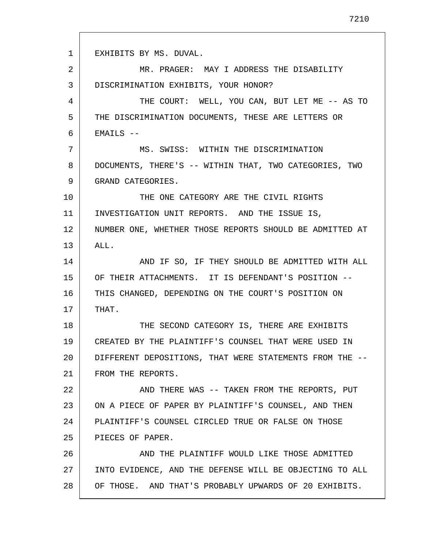1 2 3 4 5 6 7 8 9 10 11 12 13 14 15 16 17 18 19 20 21 22 23 24 25 26 27 28 EXHIBITS BY MS. DUVAL. MR. PRAGER: MAY I ADDRESS THE DISABILITY DISCRIMINATION EXHIBITS, YOUR HONOR? THE COURT: WELL, YOU CAN, BUT LET ME -- AS TO THE DISCRIMINATION DOCUMENTS, THESE ARE LETTERS OR  $EMALLS$   $--$ MS. SWISS: WITHIN THE DISCRIMINATION DOCUMENTS, THERE'S -- WITHIN THAT, TWO CATEGORIES, TWO GRAND CATEGORIES. THE ONE CATEGORY ARE THE CIVIL RIGHTS INVESTIGATION UNIT REPORTS. AND THE ISSUE IS, NUMBER ONE, WHETHER THOSE REPORTS SHOULD BE ADMITTED AT ALL. AND IF SO, IF THEY SHOULD BE ADMITTED WITH ALL OF THEIR ATTACHMENTS. IT IS DEFENDANT'S POSITION -- THIS CHANGED, DEPENDING ON THE COURT'S POSITION ON THAT. THE SECOND CATEGORY IS, THERE ARE EXHIBITS CREATED BY THE PLAINTIFF'S COUNSEL THAT WERE USED IN DIFFERENT DEPOSITIONS, THAT WERE STATEMENTS FROM THE -- FROM THE REPORTS. AND THERE WAS -- TAKEN FROM THE REPORTS, PUT ON A PIECE OF PAPER BY PLAINTIFF'S COUNSEL, AND THEN PLAINTIFF'S COUNSEL CIRCLED TRUE OR FALSE ON THOSE PIECES OF PAPER. AND THE PLAINTIFF WOULD LIKE THOSE ADMITTED INTO EVIDENCE, AND THE DEFENSE WILL BE OBJECTING TO ALL OF THOSE. AND THAT'S PROBABLY UPWARDS OF 20 EXHIBITS.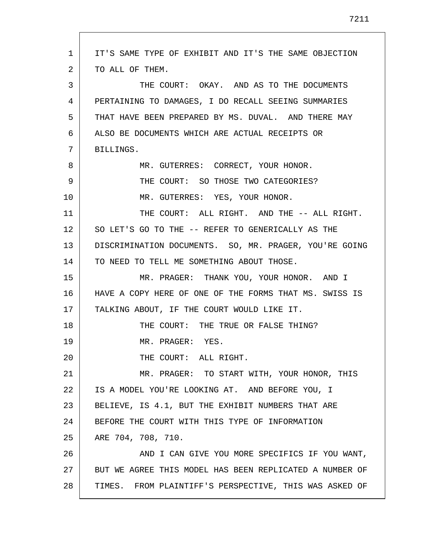| 1  | IT'S SAME TYPE OF EXHIBIT AND IT'S THE SAME OBJECTION   |
|----|---------------------------------------------------------|
| 2  | TO ALL OF THEM.                                         |
| 3  | THE COURT: OKAY. AND AS TO THE DOCUMENTS                |
| 4  | PERTAINING TO DAMAGES, I DO RECALL SEEING SUMMARIES     |
| 5  | THAT HAVE BEEN PREPARED BY MS. DUVAL. AND THERE MAY     |
| 6  | ALSO BE DOCUMENTS WHICH ARE ACTUAL RECEIPTS OR          |
| 7  | BILLINGS.                                               |
| 8  | MR. GUTERRES: CORRECT, YOUR HONOR.                      |
| 9  | THE COURT: SO THOSE TWO CATEGORIES?                     |
| 10 | MR. GUTERRES: YES, YOUR HONOR.                          |
| 11 | THE COURT: ALL RIGHT. AND THE -- ALL RIGHT.             |
| 12 | SO LET'S GO TO THE -- REFER TO GENERICALLY AS THE       |
| 13 | DISCRIMINATION DOCUMENTS. SO, MR. PRAGER, YOU'RE GOING  |
| 14 | TO NEED TO TELL ME SOMETHING ABOUT THOSE.               |
| 15 | MR. PRAGER: THANK YOU, YOUR HONOR. AND I                |
| 16 | HAVE A COPY HERE OF ONE OF THE FORMS THAT MS. SWISS IS  |
| 17 | TALKING ABOUT, IF THE COURT WOULD LIKE IT.              |
| 18 | THE COURT: THE TRUE OR FALSE THING?                     |
| 19 | MR. PRAGER: YES.                                        |
| 20 | THE COURT: ALL RIGHT.                                   |
| 21 | MR. PRAGER: TO START WITH, YOUR HONOR, THIS             |
| 22 | IS A MODEL YOU'RE LOOKING AT. AND BEFORE YOU, I         |
| 23 | BELIEVE, IS 4.1, BUT THE EXHIBIT NUMBERS THAT ARE       |
| 24 | BEFORE THE COURT WITH THIS TYPE OF INFORMATION          |
| 25 | ARE 704, 708, 710.                                      |
| 26 | AND I CAN GIVE YOU MORE SPECIFICS IF YOU WANT,          |
| 27 | BUT WE AGREE THIS MODEL HAS BEEN REPLICATED A NUMBER OF |
| 28 | TIMES. FROM PLAINTIFF'S PERSPECTIVE, THIS WAS ASKED OF  |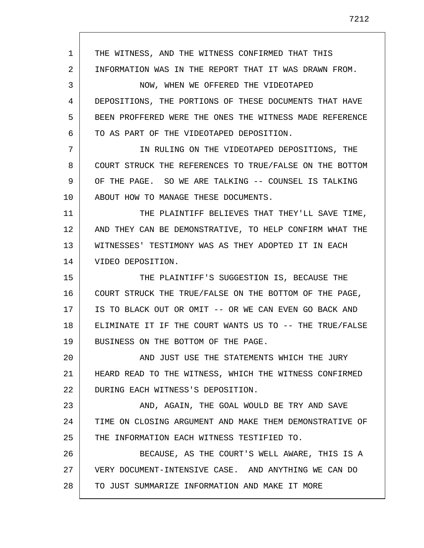1 2 3 4 5 6 7 8 9 10 11 12 13 14 15 16 17 18 19 20 21 22 23 24 25 26 27 28 THE WITNESS, AND THE WITNESS CONFIRMED THAT THIS INFORMATION WAS IN THE REPORT THAT IT WAS DRAWN FROM. NOW, WHEN WE OFFERED THE VIDEOTAPED DEPOSITIONS, THE PORTIONS OF THESE DOCUMENTS THAT HAVE BEEN PROFFERED WERE THE ONES THE WITNESS MADE REFERENCE TO AS PART OF THE VIDEOTAPED DEPOSITION. IN RULING ON THE VIDEOTAPED DEPOSITIONS, THE COURT STRUCK THE REFERENCES TO TRUE/FALSE ON THE BOTTOM OF THE PAGE. SO WE ARE TALKING -- COUNSEL IS TALKING ABOUT HOW TO MANAGE THESE DOCUMENTS. THE PLAINTIFF BELIEVES THAT THEY'LL SAVE TIME, AND THEY CAN BE DEMONSTRATIVE, TO HELP CONFIRM WHAT THE WITNESSES' TESTIMONY WAS AS THEY ADOPTED IT IN EACH VIDEO DEPOSITION. THE PLAINTIFF'S SUGGESTION IS, BECAUSE THE COURT STRUCK THE TRUE/FALSE ON THE BOTTOM OF THE PAGE, IS TO BLACK OUT OR OMIT -- OR WE CAN EVEN GO BACK AND ELIMINATE IT IF THE COURT WANTS US TO -- THE TRUE/FALSE BUSINESS ON THE BOTTOM OF THE PAGE. AND JUST USE THE STATEMENTS WHICH THE JURY HEARD READ TO THE WITNESS, WHICH THE WITNESS CONFIRMED DURING EACH WITNESS'S DEPOSITION. AND, AGAIN, THE GOAL WOULD BE TRY AND SAVE TIME ON CLOSING ARGUMENT AND MAKE THEM DEMONSTRATIVE OF THE INFORMATION EACH WITNESS TESTIFIED TO. BECAUSE, AS THE COURT'S WELL AWARE, THIS IS A VERY DOCUMENT-INTENSIVE CASE. AND ANYTHING WE CAN DO TO JUST SUMMARIZE INFORMATION AND MAKE IT MORE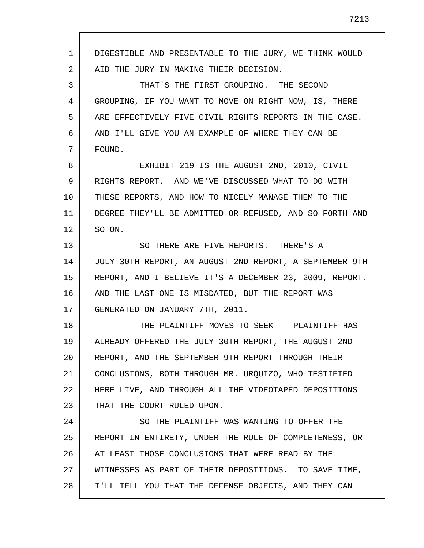1 2 3 4 5 6 7 8 9 10 11 12 13 14 15 16 17 18 19 20 21 22 23 24 25 26 27 28 DIGESTIBLE AND PRESENTABLE TO THE JURY, WE THINK WOULD AID THE JURY IN MAKING THEIR DECISION. THAT'S THE FIRST GROUPING. THE SECOND GROUPING, IF YOU WANT TO MOVE ON RIGHT NOW, IS, THERE ARE EFFECTIVELY FIVE CIVIL RIGHTS REPORTS IN THE CASE. AND I'LL GIVE YOU AN EXAMPLE OF WHERE THEY CAN BE FOUND. EXHIBIT 219 IS THE AUGUST 2ND, 2010, CIVIL RIGHTS REPORT. AND WE'VE DISCUSSED WHAT TO DO WITH THESE REPORTS, AND HOW TO NICELY MANAGE THEM TO THE DEGREE THEY'LL BE ADMITTED OR REFUSED, AND SO FORTH AND SO ON. SO THERE ARE FIVE REPORTS. THERE'S A JULY 30TH REPORT, AN AUGUST 2ND REPORT, A SEPTEMBER 9TH REPORT, AND I BELIEVE IT'S A DECEMBER 23, 2009, REPORT. AND THE LAST ONE IS MISDATED, BUT THE REPORT WAS GENERATED ON JANUARY 7TH, 2011. THE PLAINTIFF MOVES TO SEEK -- PLAINTIFF HAS ALREADY OFFERED THE JULY 30TH REPORT, THE AUGUST 2ND REPORT, AND THE SEPTEMBER 9TH REPORT THROUGH THEIR CONCLUSIONS, BOTH THROUGH MR. URQUIZO, WHO TESTIFIED HERE LIVE, AND THROUGH ALL THE VIDEOTAPED DEPOSITIONS THAT THE COURT RULED UPON. SO THE PLAINTIFF WAS WANTING TO OFFER THE REPORT IN ENTIRETY, UNDER THE RULE OF COMPLETENESS, OR AT LEAST THOSE CONCLUSIONS THAT WERE READ BY THE WITNESSES AS PART OF THEIR DEPOSITIONS. TO SAVE TIME, I'LL TELL YOU THAT THE DEFENSE OBJECTS, AND THEY CAN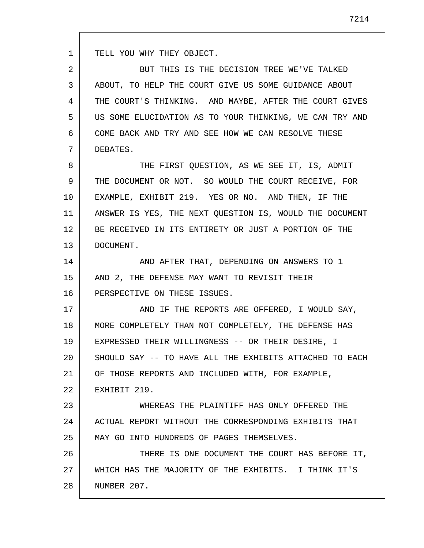TELL YOU WHY THEY OBJECT.

1

2 3 4 5 6 7 BUT THIS IS THE DECISION TREE WE'VE TALKED ABOUT, TO HELP THE COURT GIVE US SOME GUIDANCE ABOUT THE COURT'S THINKING. AND MAYBE, AFTER THE COURT GIVES US SOME ELUCIDATION AS TO YOUR THINKING, WE CAN TRY AND COME BACK AND TRY AND SEE HOW WE CAN RESOLVE THESE DEBATES.

8 9 10 11 12 13 THE FIRST QUESTION, AS WE SEE IT, IS, ADMIT THE DOCUMENT OR NOT. SO WOULD THE COURT RECEIVE, FOR EXAMPLE, EXHIBIT 219. YES OR NO. AND THEN, IF THE ANSWER IS YES, THE NEXT QUESTION IS, WOULD THE DOCUMENT BE RECEIVED IN ITS ENTIRETY OR JUST A PORTION OF THE DOCUMENT.

14 15 16 AND AFTER THAT, DEPENDING ON ANSWERS TO 1 AND 2, THE DEFENSE MAY WANT TO REVISIT THEIR PERSPECTIVE ON THESE ISSUES.

17 18 19 20 21 22 AND IF THE REPORTS ARE OFFERED, I WOULD SAY, MORE COMPLETELY THAN NOT COMPLETELY, THE DEFENSE HAS EXPRESSED THEIR WILLINGNESS -- OR THEIR DESIRE, I SHOULD SAY -- TO HAVE ALL THE EXHIBITS ATTACHED TO EACH OF THOSE REPORTS AND INCLUDED WITH, FOR EXAMPLE, EXHIBIT 219.

23 24 25 WHEREAS THE PLAINTIFF HAS ONLY OFFERED THE ACTUAL REPORT WITHOUT THE CORRESPONDING EXHIBITS THAT MAY GO INTO HUNDREDS OF PAGES THEMSELVES.

26 27 28 THERE IS ONE DOCUMENT THE COURT HAS BEFORE IT, WHICH HAS THE MAJORITY OF THE EXHIBITS. I THINK IT'S NUMBER 207.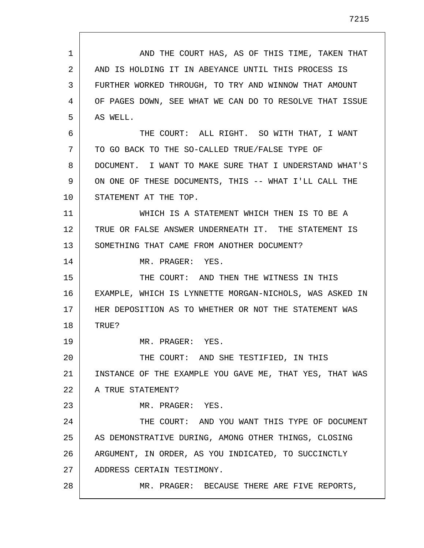1 2 3 4 5 6 7 8 9 10 11 12 13 14 15 16 17 18 19 20 21 22 23 24 25 26 27 28 AND THE COURT HAS, AS OF THIS TIME, TAKEN THAT AND IS HOLDING IT IN ABEYANCE UNTIL THIS PROCESS IS FURTHER WORKED THROUGH, TO TRY AND WINNOW THAT AMOUNT OF PAGES DOWN, SEE WHAT WE CAN DO TO RESOLVE THAT ISSUE AS WELL. THE COURT: ALL RIGHT. SO WITH THAT, I WANT TO GO BACK TO THE SO-CALLED TRUE/FALSE TYPE OF DOCUMENT. I WANT TO MAKE SURE THAT I UNDERSTAND WHAT'S ON ONE OF THESE DOCUMENTS, THIS -- WHAT I'LL CALL THE STATEMENT AT THE TOP. WHICH IS A STATEMENT WHICH THEN IS TO BE A TRUE OR FALSE ANSWER UNDERNEATH IT. THE STATEMENT IS SOMETHING THAT CAME FROM ANOTHER DOCUMENT? MR. PRAGER: YES. THE COURT: AND THEN THE WITNESS IN THIS EXAMPLE, WHICH IS LYNNETTE MORGAN-NICHOLS, WAS ASKED IN HER DEPOSITION AS TO WHETHER OR NOT THE STATEMENT WAS TRUE? MR. PRAGER: YES. THE COURT: AND SHE TESTIFIED, IN THIS INSTANCE OF THE EXAMPLE YOU GAVE ME, THAT YES, THAT WAS A TRUE STATEMENT? MR. PRAGER: YES. THE COURT: AND YOU WANT THIS TYPE OF DOCUMENT AS DEMONSTRATIVE DURING, AMONG OTHER THINGS, CLOSING ARGUMENT, IN ORDER, AS YOU INDICATED, TO SUCCINCTLY ADDRESS CERTAIN TESTIMONY. MR. PRAGER: BECAUSE THERE ARE FIVE REPORTS,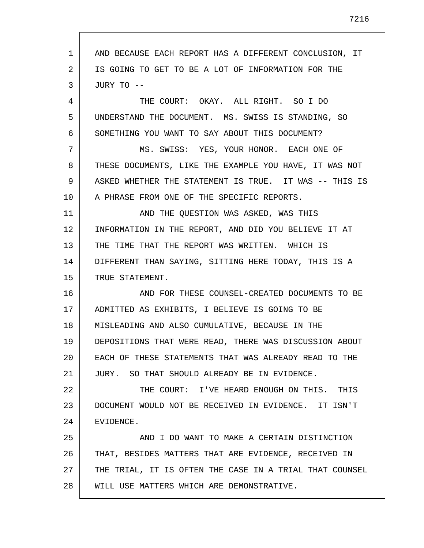1 2 3 4 5 6 7 8 9 10 11 12 13 14 15 16 17 18 19 20 21 22 23 24 25 26 27 28 AND BECAUSE EACH REPORT HAS A DIFFERENT CONCLUSION, IT IS GOING TO GET TO BE A LOT OF INFORMATION FOR THE JURY TO -- THE COURT: OKAY. ALL RIGHT. SO I DO UNDERSTAND THE DOCUMENT. MS. SWISS IS STANDING, SO SOMETHING YOU WANT TO SAY ABOUT THIS DOCUMENT? MS. SWISS: YES, YOUR HONOR. EACH ONE OF THESE DOCUMENTS, LIKE THE EXAMPLE YOU HAVE, IT WAS NOT ASKED WHETHER THE STATEMENT IS TRUE. IT WAS -- THIS IS A PHRASE FROM ONE OF THE SPECIFIC REPORTS. AND THE QUESTION WAS ASKED, WAS THIS INFORMATION IN THE REPORT, AND DID YOU BELIEVE IT AT THE TIME THAT THE REPORT WAS WRITTEN. WHICH IS DIFFERENT THAN SAYING, SITTING HERE TODAY, THIS IS A TRUE STATEMENT. AND FOR THESE COUNSEL-CREATED DOCUMENTS TO BE ADMITTED AS EXHIBITS, I BELIEVE IS GOING TO BE MISLEADING AND ALSO CUMULATIVE, BECAUSE IN THE DEPOSITIONS THAT WERE READ, THERE WAS DISCUSSION ABOUT EACH OF THESE STATEMENTS THAT WAS ALREADY READ TO THE JURY. SO THAT SHOULD ALREADY BE IN EVIDENCE. THE COURT: I'VE HEARD ENOUGH ON THIS. THIS DOCUMENT WOULD NOT BE RECEIVED IN EVIDENCE. IT ISN'T EVIDENCE. AND I DO WANT TO MAKE A CERTAIN DISTINCTION THAT, BESIDES MATTERS THAT ARE EVIDENCE, RECEIVED IN THE TRIAL, IT IS OFTEN THE CASE IN A TRIAL THAT COUNSEL WILL USE MATTERS WHICH ARE DEMONSTRATIVE.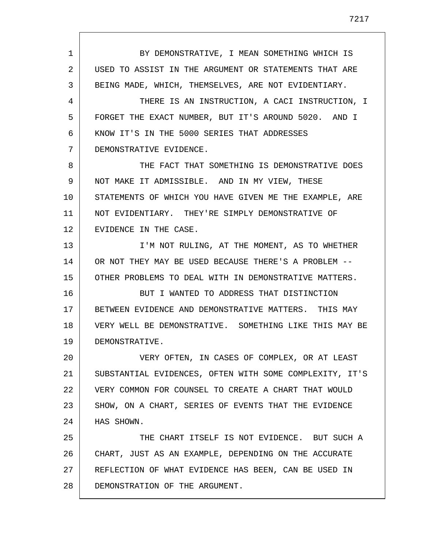1 2 3 4 5 6 7 8 9 10 11 12 13 14 15 16 17 18 19 20 21 22 23 24 25 26 27 28 BY DEMONSTRATIVE, I MEAN SOMETHING WHICH IS USED TO ASSIST IN THE ARGUMENT OR STATEMENTS THAT ARE BEING MADE, WHICH, THEMSELVES, ARE NOT EVIDENTIARY. THERE IS AN INSTRUCTION, A CACI INSTRUCTION, I FORGET THE EXACT NUMBER, BUT IT'S AROUND 5020. AND I KNOW IT'S IN THE 5000 SERIES THAT ADDRESSES DEMONSTRATIVE EVIDENCE. THE FACT THAT SOMETHING IS DEMONSTRATIVE DOES NOT MAKE IT ADMISSIBLE. AND IN MY VIEW, THESE STATEMENTS OF WHICH YOU HAVE GIVEN ME THE EXAMPLE, ARE NOT EVIDENTIARY. THEY'RE SIMPLY DEMONSTRATIVE OF EVIDENCE IN THE CASE. I'M NOT RULING, AT THE MOMENT, AS TO WHETHER OR NOT THEY MAY BE USED BECAUSE THERE'S A PROBLEM -- OTHER PROBLEMS TO DEAL WITH IN DEMONSTRATIVE MATTERS. BUT I WANTED TO ADDRESS THAT DISTINCTION BETWEEN EVIDENCE AND DEMONSTRATIVE MATTERS. THIS MAY VERY WELL BE DEMONSTRATIVE. SOMETHING LIKE THIS MAY BE DEMONSTRATIVE. VERY OFTEN, IN CASES OF COMPLEX, OR AT LEAST SUBSTANTIAL EVIDENCES, OFTEN WITH SOME COMPLEXITY, IT'S VERY COMMON FOR COUNSEL TO CREATE A CHART THAT WOULD SHOW, ON A CHART, SERIES OF EVENTS THAT THE EVIDENCE HAS SHOWN. THE CHART ITSELF IS NOT EVIDENCE. BUT SUCH A CHART, JUST AS AN EXAMPLE, DEPENDING ON THE ACCURATE REFLECTION OF WHAT EVIDENCE HAS BEEN, CAN BE USED IN DEMONSTRATION OF THE ARGUMENT.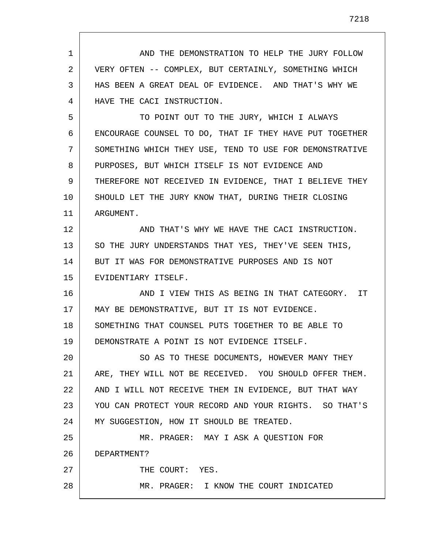1 2 3 4 5 6 7 8 9 10 11 12 13 14 15 16 17 18 19 20 21 22 23 24 25 26 27 28 AND THE DEMONSTRATION TO HELP THE JURY FOLLOW VERY OFTEN -- COMPLEX, BUT CERTAINLY, SOMETHING WHICH HAS BEEN A GREAT DEAL OF EVIDENCE. AND THAT'S WHY WE HAVE THE CACI INSTRUCTION. TO POINT OUT TO THE JURY, WHICH I ALWAYS ENCOURAGE COUNSEL TO DO, THAT IF THEY HAVE PUT TOGETHER SOMETHING WHICH THEY USE, TEND TO USE FOR DEMONSTRATIVE PURPOSES, BUT WHICH ITSELF IS NOT EVIDENCE AND THEREFORE NOT RECEIVED IN EVIDENCE, THAT I BELIEVE THEY SHOULD LET THE JURY KNOW THAT, DURING THEIR CLOSING ARGUMENT. AND THAT'S WHY WE HAVE THE CACI INSTRUCTION. SO THE JURY UNDERSTANDS THAT YES, THEY'VE SEEN THIS, BUT IT WAS FOR DEMONSTRATIVE PURPOSES AND IS NOT EVIDENTIARY ITSELF. AND I VIEW THIS AS BEING IN THAT CATEGORY. IT MAY BE DEMONSTRATIVE, BUT IT IS NOT EVIDENCE. SOMETHING THAT COUNSEL PUTS TOGETHER TO BE ABLE TO DEMONSTRATE A POINT IS NOT EVIDENCE ITSELF. SO AS TO THESE DOCUMENTS, HOWEVER MANY THEY ARE, THEY WILL NOT BE RECEIVED. YOU SHOULD OFFER THEM. AND I WILL NOT RECEIVE THEM IN EVIDENCE, BUT THAT WAY YOU CAN PROTECT YOUR RECORD AND YOUR RIGHTS. SO THAT'S MY SUGGESTION, HOW IT SHOULD BE TREATED. MR. PRAGER: MAY I ASK A QUESTION FOR DEPARTMENT? THE COURT: YES. MR. PRAGER: I KNOW THE COURT INDICATED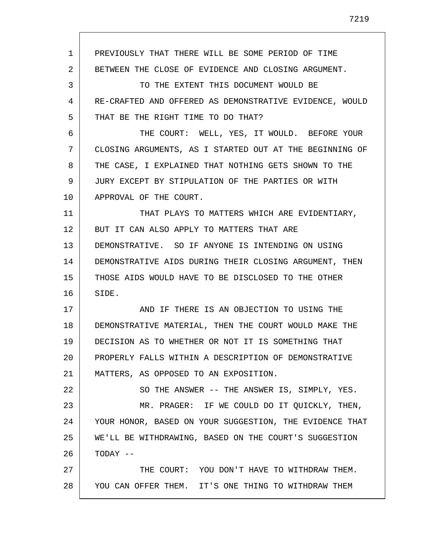1 2 3 4 5 6 7 8 9 10 11 12 13 14 15 16 17 18 19 20 21 22 23 24 25 26 27 28 PREVIOUSLY THAT THERE WILL BE SOME PERIOD OF TIME BETWEEN THE CLOSE OF EVIDENCE AND CLOSING ARGUMENT. TO THE EXTENT THIS DOCUMENT WOULD BE RE-CRAFTED AND OFFERED AS DEMONSTRATIVE EVIDENCE, WOULD THAT BE THE RIGHT TIME TO DO THAT? THE COURT: WELL, YES, IT WOULD. BEFORE YOUR CLOSING ARGUMENTS, AS I STARTED OUT AT THE BEGINNING OF THE CASE, I EXPLAINED THAT NOTHING GETS SHOWN TO THE JURY EXCEPT BY STIPULATION OF THE PARTIES OR WITH APPROVAL OF THE COURT. THAT PLAYS TO MATTERS WHICH ARE EVIDENTIARY, BUT IT CAN ALSO APPLY TO MATTERS THAT ARE DEMONSTRATIVE. SO IF ANYONE IS INTENDING ON USING DEMONSTRATIVE AIDS DURING THEIR CLOSING ARGUMENT, THEN THOSE AIDS WOULD HAVE TO BE DISCLOSED TO THE OTHER SIDE. AND IF THERE IS AN OBJECTION TO USING THE DEMONSTRATIVE MATERIAL, THEN THE COURT WOULD MAKE THE DECISION AS TO WHETHER OR NOT IT IS SOMETHING THAT PROPERLY FALLS WITHIN A DESCRIPTION OF DEMONSTRATIVE MATTERS, AS OPPOSED TO AN EXPOSITION. SO THE ANSWER -- THE ANSWER IS, SIMPLY, YES. MR. PRAGER: IF WE COULD DO IT QUICKLY, THEN, YOUR HONOR, BASED ON YOUR SUGGESTION, THE EVIDENCE THAT WE'LL BE WITHDRAWING, BASED ON THE COURT'S SUGGESTION TODAY -- THE COURT: YOU DON'T HAVE TO WITHDRAW THEM. YOU CAN OFFER THEM. IT'S ONE THING TO WITHDRAW THEM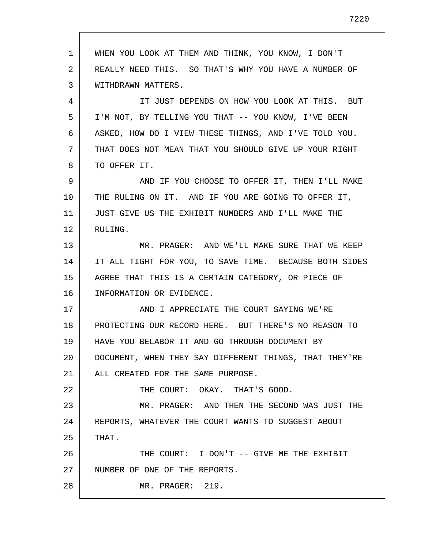1 2 3 4 5 6 7 8 9 10 11 12 13 14 15 16 17 18 19 20 21 22 23 24 25 26 27 28 WHEN YOU LOOK AT THEM AND THINK, YOU KNOW, I DON'T REALLY NEED THIS. SO THAT'S WHY YOU HAVE A NUMBER OF WITHDRAWN MATTERS. IT JUST DEPENDS ON HOW YOU LOOK AT THIS. BUT I'M NOT, BY TELLING YOU THAT -- YOU KNOW, I'VE BEEN ASKED, HOW DO I VIEW THESE THINGS, AND I'VE TOLD YOU. THAT DOES NOT MEAN THAT YOU SHOULD GIVE UP YOUR RIGHT TO OFFER IT. AND IF YOU CHOOSE TO OFFER IT, THEN I'LL MAKE THE RULING ON IT. AND IF YOU ARE GOING TO OFFER IT, JUST GIVE US THE EXHIBIT NUMBERS AND I'LL MAKE THE RULING. MR. PRAGER: AND WE'LL MAKE SURE THAT WE KEEP IT ALL TIGHT FOR YOU, TO SAVE TIME. BECAUSE BOTH SIDES AGREE THAT THIS IS A CERTAIN CATEGORY, OR PIECE OF INFORMATION OR EVIDENCE. AND I APPRECIATE THE COURT SAYING WE'RE PROTECTING OUR RECORD HERE. BUT THERE'S NO REASON TO HAVE YOU BELABOR IT AND GO THROUGH DOCUMENT BY DOCUMENT, WHEN THEY SAY DIFFERENT THINGS, THAT THEY'RE ALL CREATED FOR THE SAME PURPOSE. THE COURT: OKAY. THAT'S GOOD. MR. PRAGER: AND THEN THE SECOND WAS JUST THE REPORTS, WHATEVER THE COURT WANTS TO SUGGEST ABOUT THAT. THE COURT: I DON'T -- GIVE ME THE EXHIBIT NUMBER OF ONE OF THE REPORTS. MR. PRAGER: 219.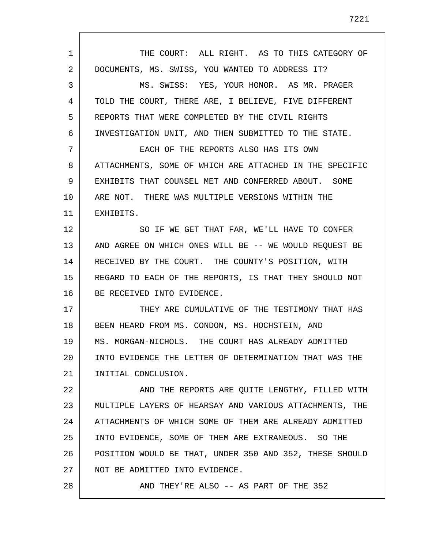1 2 3 4 5 6 7 8 9 10 11 12 13 14 15 16 17 18 19 20 21 22 23 24 25 26 27 28 THE COURT: ALL RIGHT. AS TO THIS CATEGORY OF DOCUMENTS, MS. SWISS, YOU WANTED TO ADDRESS IT? MS. SWISS: YES, YOUR HONOR. AS MR. PRAGER TOLD THE COURT, THERE ARE, I BELIEVE, FIVE DIFFERENT REPORTS THAT WERE COMPLETED BY THE CIVIL RIGHTS INVESTIGATION UNIT, AND THEN SUBMITTED TO THE STATE. EACH OF THE REPORTS ALSO HAS ITS OWN ATTACHMENTS, SOME OF WHICH ARE ATTACHED IN THE SPECIFIC EXHIBITS THAT COUNSEL MET AND CONFERRED ABOUT. SOME ARE NOT. THERE WAS MULTIPLE VERSIONS WITHIN THE EXHIBITS. SO IF WE GET THAT FAR, WE'LL HAVE TO CONFER AND AGREE ON WHICH ONES WILL BE -- WE WOULD REQUEST BE RECEIVED BY THE COURT. THE COUNTY'S POSITION, WITH REGARD TO EACH OF THE REPORTS, IS THAT THEY SHOULD NOT BE RECEIVED INTO EVIDENCE. THEY ARE CUMULATIVE OF THE TESTIMONY THAT HAS BEEN HEARD FROM MS. CONDON, MS. HOCHSTEIN, AND MS. MORGAN-NICHOLS. THE COURT HAS ALREADY ADMITTED INTO EVIDENCE THE LETTER OF DETERMINATION THAT WAS THE INITIAL CONCLUSION. AND THE REPORTS ARE QUITE LENGTHY, FILLED WITH MULTIPLE LAYERS OF HEARSAY AND VARIOUS ATTACHMENTS, THE ATTACHMENTS OF WHICH SOME OF THEM ARE ALREADY ADMITTED INTO EVIDENCE, SOME OF THEM ARE EXTRANEOUS. SO THE POSITION WOULD BE THAT, UNDER 350 AND 352, THESE SHOULD NOT BE ADMITTED INTO EVIDENCE. AND THEY'RE ALSO -- AS PART OF THE 352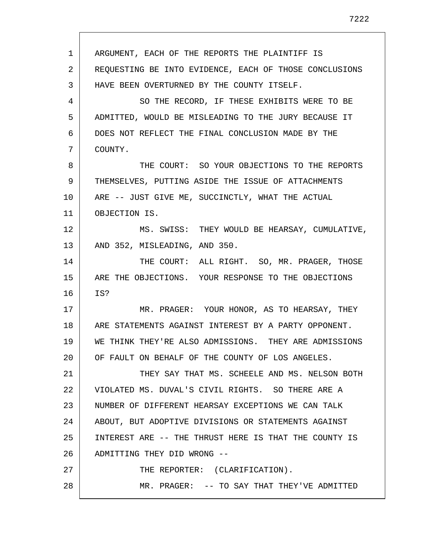1 2 3 4 5 6 7 8 9 10 11 12 13 14 15 16 17 18 19 20 21 22 23 24 25 26 27 28 ARGUMENT, EACH OF THE REPORTS THE PLAINTIFF IS REQUESTING BE INTO EVIDENCE, EACH OF THOSE CONCLUSIONS HAVE BEEN OVERTURNED BY THE COUNTY ITSELF. SO THE RECORD, IF THESE EXHIBITS WERE TO BE ADMITTED, WOULD BE MISLEADING TO THE JURY BECAUSE IT DOES NOT REFLECT THE FINAL CONCLUSION MADE BY THE COUNTY. THE COURT: SO YOUR OBJECTIONS TO THE REPORTS THEMSELVES, PUTTING ASIDE THE ISSUE OF ATTACHMENTS ARE -- JUST GIVE ME, SUCCINCTLY, WHAT THE ACTUAL OBJECTION IS. MS. SWISS: THEY WOULD BE HEARSAY, CUMULATIVE, AND 352, MISLEADING, AND 350. THE COURT: ALL RIGHT. SO, MR. PRAGER, THOSE ARE THE OBJECTIONS. YOUR RESPONSE TO THE OBJECTIONS IS? MR. PRAGER: YOUR HONOR, AS TO HEARSAY, THEY ARE STATEMENTS AGAINST INTEREST BY A PARTY OPPONENT. WE THINK THEY'RE ALSO ADMISSIONS. THEY ARE ADMISSIONS OF FAULT ON BEHALF OF THE COUNTY OF LOS ANGELES. THEY SAY THAT MS. SCHEELE AND MS. NELSON BOTH VIOLATED MS. DUVAL'S CIVIL RIGHTS. SO THERE ARE A NUMBER OF DIFFERENT HEARSAY EXCEPTIONS WE CAN TALK ABOUT, BUT ADOPTIVE DIVISIONS OR STATEMENTS AGAINST INTEREST ARE -- THE THRUST HERE IS THAT THE COUNTY IS ADMITTING THEY DID WRONG -- THE REPORTER: (CLARIFICATION). MR. PRAGER: -- TO SAY THAT THEY'VE ADMITTED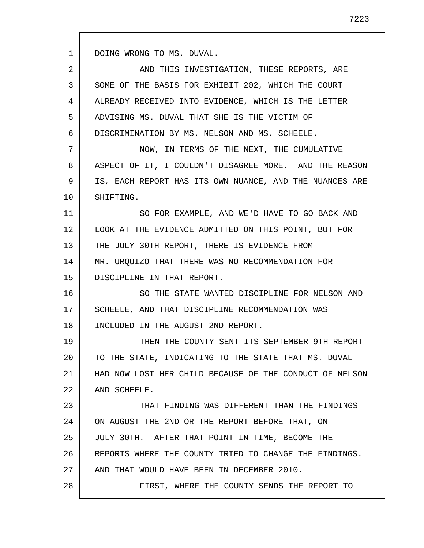1

| $\mathcal{L}$ | AND THIS INVESTIGATION, THESE REPORTS, ARE             |
|---------------|--------------------------------------------------------|
| 3             | SOME OF THE BASIS FOR EXHIBIT 202, WHICH THE COURT     |
| 4             | ALREADY RECEIVED INTO EVIDENCE, WHICH IS THE LETTER    |
| 5             | ADVISING MS. DUVAL THAT SHE IS THE VICTIM OF           |
| 6             | DISCRIMINATION BY MS. NELSON AND MS. SCHEELE.          |
| 7             | NOW, IN TERMS OF THE NEXT, THE CUMULATIVE              |
| 8             | ASPECT OF IT, I COULDN'T DISAGREE MORE. AND THE REASON |

9 10 IS, EACH REPORT HAS ITS OWN NUANCE, AND THE NUANCES ARE SHIFTING.

11 12 13 14 15 SO FOR EXAMPLE, AND WE'D HAVE TO GO BACK AND LOOK AT THE EVIDENCE ADMITTED ON THIS POINT, BUT FOR THE JULY 30TH REPORT, THERE IS EVIDENCE FROM MR. URQUIZO THAT THERE WAS NO RECOMMENDATION FOR DISCIPLINE IN THAT REPORT.

16 17 18 SO THE STATE WANTED DISCIPLINE FOR NELSON AND SCHEELE, AND THAT DISCIPLINE RECOMMENDATION WAS INCLUDED IN THE AUGUST 2ND REPORT.

19 20 21 22 THEN THE COUNTY SENT ITS SEPTEMBER 9TH REPORT TO THE STATE, INDICATING TO THE STATE THAT MS. DUVAL HAD NOW LOST HER CHILD BECAUSE OF THE CONDUCT OF NELSON AND SCHEELE.

23 24 25 26 27 28 THAT FINDING WAS DIFFERENT THAN THE FINDINGS ON AUGUST THE 2ND OR THE REPORT BEFORE THAT, ON JULY 30TH. AFTER THAT POINT IN TIME, BECOME THE REPORTS WHERE THE COUNTY TRIED TO CHANGE THE FINDINGS. AND THAT WOULD HAVE BEEN IN DECEMBER 2010. FIRST, WHERE THE COUNTY SENDS THE REPORT TO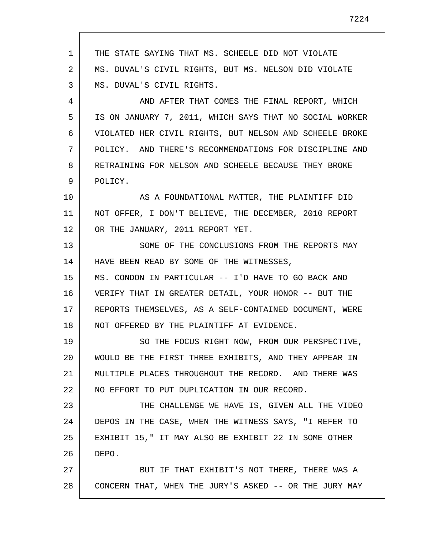1 2 3 4 5 6 7 8 9 10 11 12 13 14 15 16 17 18 19 20 21 22 23 24 25 26 27 28 THE STATE SAYING THAT MS. SCHEELE DID NOT VIOLATE MS. DUVAL'S CIVIL RIGHTS, BUT MS. NELSON DID VIOLATE MS. DUVAL'S CIVIL RIGHTS. AND AFTER THAT COMES THE FINAL REPORT, WHICH IS ON JANUARY 7, 2011, WHICH SAYS THAT NO SOCIAL WORKER VIOLATED HER CIVIL RIGHTS, BUT NELSON AND SCHEELE BROKE POLICY. AND THERE'S RECOMMENDATIONS FOR DISCIPLINE AND RETRAINING FOR NELSON AND SCHEELE BECAUSE THEY BROKE POLICY. AS A FOUNDATIONAL MATTER, THE PLAINTIFF DID NOT OFFER, I DON'T BELIEVE, THE DECEMBER, 2010 REPORT OR THE JANUARY, 2011 REPORT YET. SOME OF THE CONCLUSIONS FROM THE REPORTS MAY HAVE BEEN READ BY SOME OF THE WITNESSES, MS. CONDON IN PARTICULAR -- I'D HAVE TO GO BACK AND VERIFY THAT IN GREATER DETAIL, YOUR HONOR -- BUT THE REPORTS THEMSELVES, AS A SELF-CONTAINED DOCUMENT, WERE NOT OFFERED BY THE PLAINTIFF AT EVIDENCE. SO THE FOCUS RIGHT NOW, FROM OUR PERSPECTIVE, WOULD BE THE FIRST THREE EXHIBITS, AND THEY APPEAR IN MULTIPLE PLACES THROUGHOUT THE RECORD. AND THERE WAS NO EFFORT TO PUT DUPLICATION IN OUR RECORD. THE CHALLENGE WE HAVE IS, GIVEN ALL THE VIDEO DEPOS IN THE CASE, WHEN THE WITNESS SAYS, "I REFER TO EXHIBIT 15," IT MAY ALSO BE EXHIBIT 22 IN SOME OTHER DEPO. BUT IF THAT EXHIBIT'S NOT THERE, THERE WAS A CONCERN THAT, WHEN THE JURY'S ASKED -- OR THE JURY MAY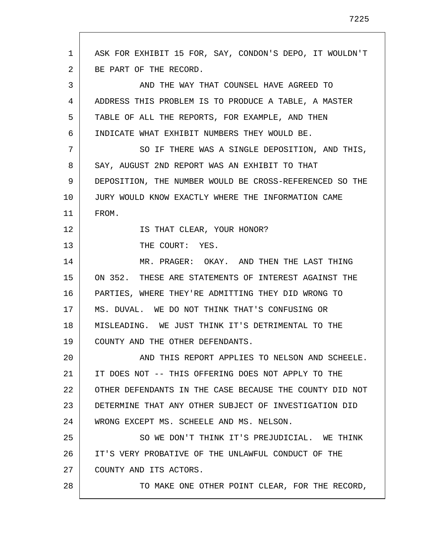| 1  | ASK FOR EXHIBIT 15 FOR, SAY, CONDON'S DEPO, IT WOULDN'T |
|----|---------------------------------------------------------|
| 2  | BE PART OF THE RECORD.                                  |
| 3  | AND THE WAY THAT COUNSEL HAVE AGREED TO                 |
| 4  | ADDRESS THIS PROBLEM IS TO PRODUCE A TABLE, A MASTER    |
| 5  | TABLE OF ALL THE REPORTS, FOR EXAMPLE, AND THEN         |
| 6  | INDICATE WHAT EXHIBIT NUMBERS THEY WOULD BE.            |
| 7  | SO IF THERE WAS A SINGLE DEPOSITION, AND THIS,          |
| 8  | SAY, AUGUST 2ND REPORT WAS AN EXHIBIT TO THAT           |
| 9  | DEPOSITION, THE NUMBER WOULD BE CROSS-REFERENCED SO THE |
| 10 | JURY WOULD KNOW EXACTLY WHERE THE INFORMATION CAME      |
| 11 | FROM.                                                   |
| 12 | IS THAT CLEAR, YOUR HONOR?                              |
| 13 | THE COURT: YES.                                         |
| 14 | MR. PRAGER: OKAY. AND THEN THE LAST THING               |
| 15 | ON 352. THESE ARE STATEMENTS OF INTEREST AGAINST THE    |
| 16 | PARTIES, WHERE THEY'RE ADMITTING THEY DID WRONG TO      |
| 17 | MS. DUVAL. WE DO NOT THINK THAT'S CONFUSING OR          |
| 18 | MISLEADING. WE JUST THINK IT'S DETRIMENTAL TO THE       |
| 19 | COUNTY AND THE OTHER DEFENDANTS.                        |
| 20 | AND THIS REPORT APPLIES TO NELSON AND SCHEELE.          |
| 21 | IT DOES NOT -- THIS OFFERING DOES NOT APPLY TO THE      |
| 22 | OTHER DEFENDANTS IN THE CASE BECAUSE THE COUNTY DID NOT |
| 23 | DETERMINE THAT ANY OTHER SUBJECT OF INVESTIGATION DID   |
| 24 | WRONG EXCEPT MS. SCHEELE AND MS. NELSON.                |
| 25 | SO WE DON'T THINK IT'S PREJUDICIAL. WE THINK            |
| 26 | IT'S VERY PROBATIVE OF THE UNLAWFUL CONDUCT OF THE      |
| 27 | COUNTY AND ITS ACTORS.                                  |
| 28 | TO MAKE ONE OTHER POINT CLEAR, FOR THE RECORD,          |

 $\overline{\Gamma}$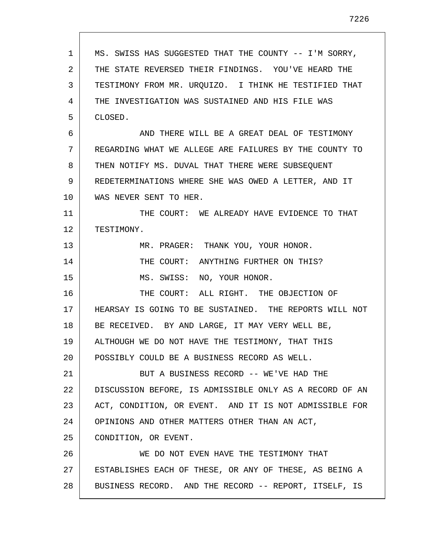| 1  | MS. SWISS HAS SUGGESTED THAT THE COUNTY -- I'M SORRY,   |
|----|---------------------------------------------------------|
| 2  | THE STATE REVERSED THEIR FINDINGS. YOU'VE HEARD THE     |
| 3  | TESTIMONY FROM MR. URQUIZO. I THINK HE TESTIFIED THAT   |
| 4  | THE INVESTIGATION WAS SUSTAINED AND HIS FILE WAS        |
| 5  | CLOSED.                                                 |
| 6  | AND THERE WILL BE A GREAT DEAL OF TESTIMONY             |
| 7  | REGARDING WHAT WE ALLEGE ARE FAILURES BY THE COUNTY TO  |
| 8  | THEN NOTIFY MS. DUVAL THAT THERE WERE SUBSEQUENT        |
| 9  | REDETERMINATIONS WHERE SHE WAS OWED A LETTER, AND IT    |
| 10 | WAS NEVER SENT TO HER.                                  |
| 11 | THE COURT: WE ALREADY HAVE EVIDENCE TO THAT             |
| 12 | TESTIMONY.                                              |
| 13 | MR. PRAGER: THANK YOU, YOUR HONOR.                      |
| 14 | THE COURT: ANYTHING FURTHER ON THIS?                    |
| 15 | MS. SWISS: NO, YOUR HONOR.                              |
| 16 | THE COURT: ALL RIGHT. THE OBJECTION OF                  |
| 17 | HEARSAY IS GOING TO BE SUSTAINED. THE REPORTS WILL NOT  |
| 18 | BE RECEIVED. BY AND LARGE, IT MAY VERY WELL BE,         |
| 19 | ALTHOUGH WE DO NOT HAVE THE TESTIMONY, THAT THIS        |
| 20 | POSSIBLY COULD BE A BUSINESS RECORD AS WELL.            |
| 21 | BUT A BUSINESS RECORD -- WE'VE HAD THE                  |
| 22 | DISCUSSION BEFORE, IS ADMISSIBLE ONLY AS A RECORD OF AN |
| 23 | ACT, CONDITION, OR EVENT. AND IT IS NOT ADMISSIBLE FOR  |
| 24 | OPINIONS AND OTHER MATTERS OTHER THAN AN ACT,           |
| 25 | CONDITION, OR EVENT.                                    |
| 26 | WE DO NOT EVEN HAVE THE TESTIMONY THAT                  |
| 27 | ESTABLISHES EACH OF THESE, OR ANY OF THESE, AS BEING A  |
| 28 | BUSINESS RECORD. AND THE RECORD -- REPORT, ITSELF, IS   |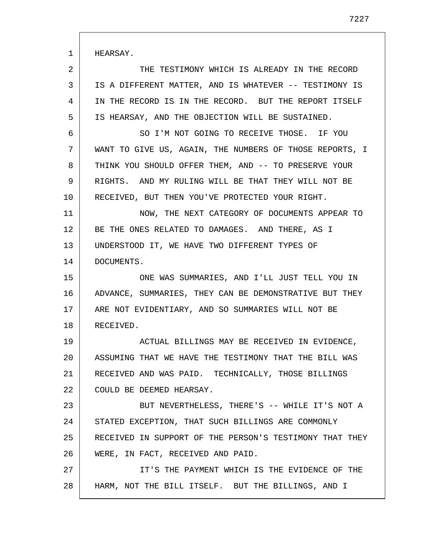HEARSAY.

1

2 3 4 5 THE TESTIMONY WHICH IS ALREADY IN THE RECORD IS A DIFFERENT MATTER, AND IS WHATEVER -- TESTIMONY IS IN THE RECORD IS IN THE RECORD. BUT THE REPORT ITSELF IS HEARSAY, AND THE OBJECTION WILL BE SUSTAINED.

6 7 8 9 10 SO I'M NOT GOING TO RECEIVE THOSE. IF YOU WANT TO GIVE US, AGAIN, THE NUMBERS OF THOSE REPORTS, I THINK YOU SHOULD OFFER THEM, AND -- TO PRESERVE YOUR RIGHTS. AND MY RULING WILL BE THAT THEY WILL NOT BE RECEIVED, BUT THEN YOU'VE PROTECTED YOUR RIGHT.

11 12 13 14 NOW, THE NEXT CATEGORY OF DOCUMENTS APPEAR TO BE THE ONES RELATED TO DAMAGES. AND THERE, AS I UNDERSTOOD IT, WE HAVE TWO DIFFERENT TYPES OF DOCUMENTS.

15 16 17 18 ONE WAS SUMMARIES, AND I'LL JUST TELL YOU IN ADVANCE, SUMMARIES, THEY CAN BE DEMONSTRATIVE BUT THEY ARE NOT EVIDENTIARY, AND SO SUMMARIES WILL NOT BE RECEIVED.

19 20 21 22 ACTUAL BILLINGS MAY BE RECEIVED IN EVIDENCE, ASSUMING THAT WE HAVE THE TESTIMONY THAT THE BILL WAS RECEIVED AND WAS PAID. TECHNICALLY, THOSE BILLINGS COULD BE DEEMED HEARSAY.

23 24 25 26 BUT NEVERTHELESS, THERE'S -- WHILE IT'S NOT A STATED EXCEPTION, THAT SUCH BILLINGS ARE COMMONLY RECEIVED IN SUPPORT OF THE PERSON'S TESTIMONY THAT THEY WERE, IN FACT, RECEIVED AND PAID.

27 28 IT'S THE PAYMENT WHICH IS THE EVIDENCE OF THE HARM, NOT THE BILL ITSELF. BUT THE BILLINGS, AND I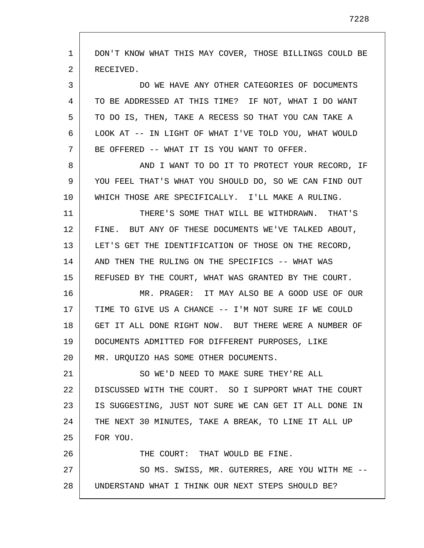| $\mathbf{1}$ | DON'T KNOW WHAT THIS MAY COVER, THOSE BILLINGS COULD BE |
|--------------|---------------------------------------------------------|
| 2            | RECEIVED.                                               |
| 3            | DO WE HAVE ANY OTHER CATEGORIES OF DOCUMENTS            |
| 4            | TO BE ADDRESSED AT THIS TIME? IF NOT, WHAT I DO WANT    |
| 5            | TO DO IS, THEN, TAKE A RECESS SO THAT YOU CAN TAKE A    |
| 6            | LOOK AT -- IN LIGHT OF WHAT I'VE TOLD YOU, WHAT WOULD   |
| 7            | BE OFFERED -- WHAT IT IS YOU WANT TO OFFER.             |
| 8            | AND I WANT TO DO IT TO PROTECT YOUR RECORD, IF          |
| 9            | YOU FEEL THAT'S WHAT YOU SHOULD DO, SO WE CAN FIND OUT  |
| 10           | WHICH THOSE ARE SPECIFICALLY. I'LL MAKE A RULING.       |
| 11           | THERE'S SOME THAT WILL BE WITHDRAWN. THAT'S             |
| 12           | FINE. BUT ANY OF THESE DOCUMENTS WE'VE TALKED ABOUT,    |
| 13           | LET'S GET THE IDENTIFICATION OF THOSE ON THE RECORD,    |
| 14           | AND THEN THE RULING ON THE SPECIFICS -- WHAT WAS        |
| 15           | REFUSED BY THE COURT, WHAT WAS GRANTED BY THE COURT.    |
| 16           | MR. PRAGER: IT MAY ALSO BE A GOOD USE OF OUR            |
| 17           | TIME TO GIVE US A CHANCE -- I'M NOT SURE IF WE COULD    |
| 18           | GET IT ALL DONE RIGHT NOW. BUT THERE WERE A NUMBER OF   |
| 19           | DOCUMENTS ADMITTED FOR DIFFERENT PURPOSES, LIKE         |
| 20           | MR. URQUIZO HAS SOME OTHER DOCUMENTS.                   |
| 21           | SO WE'D NEED TO MAKE SURE THEY'RE ALL                   |
| 22           | DISCUSSED WITH THE COURT. SO I SUPPORT WHAT THE COURT   |
| 23           | IS SUGGESTING, JUST NOT SURE WE CAN GET IT ALL DONE IN  |
| 24           | THE NEXT 30 MINUTES, TAKE A BREAK, TO LINE IT ALL UP    |
| 25           | FOR YOU.                                                |
| 26           | THE COURT: THAT WOULD BE FINE.                          |
| 27           | SO MS. SWISS, MR. GUTERRES, ARE YOU WITH ME --          |
| 28           | UNDERSTAND WHAT I THINK OUR NEXT STEPS SHOULD BE?       |
|              |                                                         |

 $\mathsf{l}$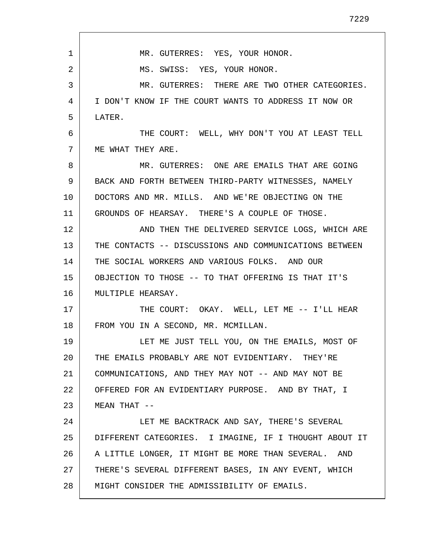| 1  | MR. GUTERRES: YES, YOUR HONOR.                         |
|----|--------------------------------------------------------|
| 2  | MS. SWISS: YES, YOUR HONOR.                            |
| 3  | MR. GUTERRES: THERE ARE TWO OTHER CATEGORIES.          |
| 4  | I DON'T KNOW IF THE COURT WANTS TO ADDRESS IT NOW OR   |
| 5  | LATER.                                                 |
| 6  | THE COURT: WELL, WHY DON'T YOU AT LEAST TELL           |
| 7  | ME WHAT THEY ARE.                                      |
| 8  | MR. GUTERRES: ONE ARE EMAILS THAT ARE GOING            |
| 9  | BACK AND FORTH BETWEEN THIRD-PARTY WITNESSES, NAMELY   |
| 10 | DOCTORS AND MR. MILLS. AND WE'RE OBJECTING ON THE      |
| 11 | GROUNDS OF HEARSAY. THERE'S A COUPLE OF THOSE.         |
| 12 | AND THEN THE DELIVERED SERVICE LOGS, WHICH ARE         |
| 13 | THE CONTACTS -- DISCUSSIONS AND COMMUNICATIONS BETWEEN |
| 14 | THE SOCIAL WORKERS AND VARIOUS FOLKS. AND OUR          |
| 15 | OBJECTION TO THOSE -- TO THAT OFFERING IS THAT IT'S    |
| 16 | MULTIPLE HEARSAY.                                      |
| 17 | THE COURT: OKAY. WELL, LET ME -- I'LL HEAR             |
| 18 | FROM YOU IN A SECOND, MR. MCMILLAN.                    |
| 19 | LET ME JUST TELL YOU, ON THE EMAILS, MOST OF           |
| 20 | THE EMAILS PROBABLY ARE NOT EVIDENTIARY. THEY'RE       |
| 21 | COMMUNICATIONS, AND THEY MAY NOT -- AND MAY NOT BE     |
| 22 | OFFERED FOR AN EVIDENTIARY PURPOSE. AND BY THAT, I     |
| 23 | MEAN THAT $--$                                         |
| 24 | LET ME BACKTRACK AND SAY, THERE'S SEVERAL              |
| 25 | DIFFERENT CATEGORIES. I IMAGINE, IF I THOUGHT ABOUT IT |
| 26 | A LITTLE LONGER, IT MIGHT BE MORE THAN SEVERAL. AND    |
| 27 | THERE'S SEVERAL DIFFERENT BASES, IN ANY EVENT, WHICH   |
| 28 | MIGHT CONSIDER THE ADMISSIBILITY OF EMAILS.            |

Г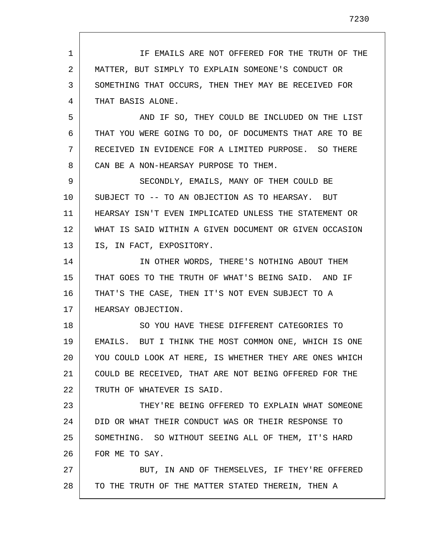1 2 3 4 5 6 7 8 9 10 11 12 13 14 15 16 17 18 19 20 21 22 23 24 25 26 27 28 IF EMAILS ARE NOT OFFERED FOR THE TRUTH OF THE MATTER, BUT SIMPLY TO EXPLAIN SOMEONE'S CONDUCT OR SOMETHING THAT OCCURS, THEN THEY MAY BE RECEIVED FOR THAT BASIS ALONE. AND IF SO, THEY COULD BE INCLUDED ON THE LIST THAT YOU WERE GOING TO DO, OF DOCUMENTS THAT ARE TO BE RECEIVED IN EVIDENCE FOR A LIMITED PURPOSE. SO THERE CAN BE A NON-HEARSAY PURPOSE TO THEM. SECONDLY, EMAILS, MANY OF THEM COULD BE SUBJECT TO -- TO AN OBJECTION AS TO HEARSAY. BUT HEARSAY ISN'T EVEN IMPLICATED UNLESS THE STATEMENT OR WHAT IS SAID WITHIN A GIVEN DOCUMENT OR GIVEN OCCASION IS, IN FACT, EXPOSITORY. IN OTHER WORDS, THERE'S NOTHING ABOUT THEM THAT GOES TO THE TRUTH OF WHAT'S BEING SAID. AND IF THAT'S THE CASE, THEN IT'S NOT EVEN SUBJECT TO A HEARSAY OBJECTION. SO YOU HAVE THESE DIFFERENT CATEGORIES TO EMAILS. BUT I THINK THE MOST COMMON ONE, WHICH IS ONE YOU COULD LOOK AT HERE, IS WHETHER THEY ARE ONES WHICH COULD BE RECEIVED, THAT ARE NOT BEING OFFERED FOR THE TRUTH OF WHATEVER IS SAID. THEY'RE BEING OFFERED TO EXPLAIN WHAT SOMEONE DID OR WHAT THEIR CONDUCT WAS OR THEIR RESPONSE TO SOMETHING. SO WITHOUT SEEING ALL OF THEM, IT'S HARD FOR ME TO SAY. BUT, IN AND OF THEMSELVES, IF THEY'RE OFFERED TO THE TRUTH OF THE MATTER STATED THEREIN, THEN A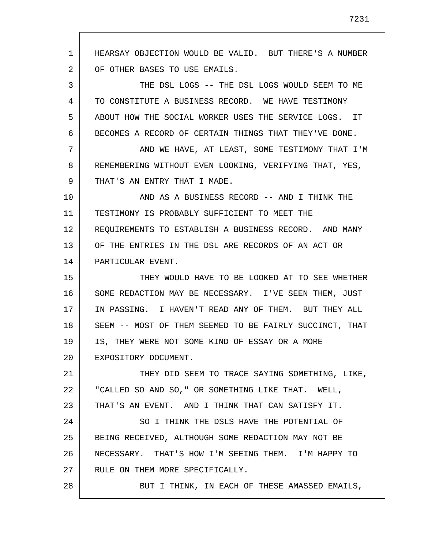1 2 3 4 5 6 7 8 9 10 11 12 13 14 15 16 17 18 19 20 21 22 23 24 25 26 27 28 HEARSAY OBJECTION WOULD BE VALID. BUT THERE'S A NUMBER OF OTHER BASES TO USE EMAILS. THE DSL LOGS -- THE DSL LOGS WOULD SEEM TO ME TO CONSTITUTE A BUSINESS RECORD. WE HAVE TESTIMONY ABOUT HOW THE SOCIAL WORKER USES THE SERVICE LOGS. IT BECOMES A RECORD OF CERTAIN THINGS THAT THEY'VE DONE. AND WE HAVE, AT LEAST, SOME TESTIMONY THAT I'M REMEMBERING WITHOUT EVEN LOOKING, VERIFYING THAT, YES, THAT'S AN ENTRY THAT I MADE. AND AS A BUSINESS RECORD -- AND I THINK THE TESTIMONY IS PROBABLY SUFFICIENT TO MEET THE REQUIREMENTS TO ESTABLISH A BUSINESS RECORD. AND MANY OF THE ENTRIES IN THE DSL ARE RECORDS OF AN ACT OR PARTICULAR EVENT. THEY WOULD HAVE TO BE LOOKED AT TO SEE WHETHER SOME REDACTION MAY BE NECESSARY. I'VE SEEN THEM, JUST IN PASSING. I HAVEN'T READ ANY OF THEM. BUT THEY ALL SEEM -- MOST OF THEM SEEMED TO BE FAIRLY SUCCINCT, THAT IS, THEY WERE NOT SOME KIND OF ESSAY OR A MORE EXPOSITORY DOCUMENT. THEY DID SEEM TO TRACE SAYING SOMETHING, LIKE, "CALLED SO AND SO," OR SOMETHING LIKE THAT. WELL, THAT'S AN EVENT. AND I THINK THAT CAN SATISFY IT. SO I THINK THE DSLS HAVE THE POTENTIAL OF BEING RECEIVED, ALTHOUGH SOME REDACTION MAY NOT BE NECESSARY. THAT'S HOW I'M SEEING THEM. I'M HAPPY TO RULE ON THEM MORE SPECIFICALLY. BUT I THINK, IN EACH OF THESE AMASSED EMAILS,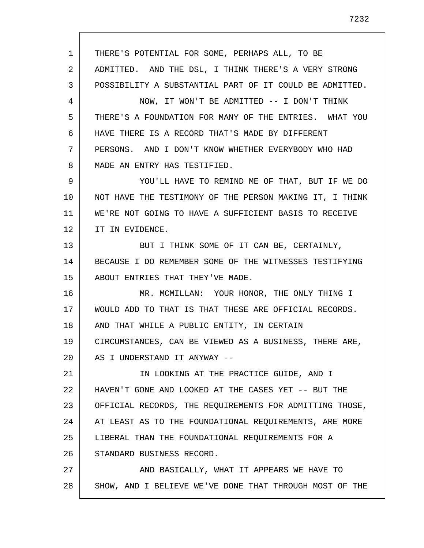1 2 3 4 5 6 7 8 9 10 11 12 13 14 15 16 17 18 19 20 21 22 23 24 25 26 27 28 THERE'S POTENTIAL FOR SOME, PERHAPS ALL, TO BE ADMITTED. AND THE DSL, I THINK THERE'S A VERY STRONG POSSIBILITY A SUBSTANTIAL PART OF IT COULD BE ADMITTED. NOW, IT WON'T BE ADMITTED -- I DON'T THINK THERE'S A FOUNDATION FOR MANY OF THE ENTRIES. WHAT YOU HAVE THERE IS A RECORD THAT'S MADE BY DIFFERENT PERSONS. AND I DON'T KNOW WHETHER EVERYBODY WHO HAD MADE AN ENTRY HAS TESTIFIED. YOU'LL HAVE TO REMIND ME OF THAT, BUT IF WE DO NOT HAVE THE TESTIMONY OF THE PERSON MAKING IT, I THINK WE'RE NOT GOING TO HAVE A SUFFICIENT BASIS TO RECEIVE IT IN EVIDENCE. BUT I THINK SOME OF IT CAN BE, CERTAINLY, BECAUSE I DO REMEMBER SOME OF THE WITNESSES TESTIFYING ABOUT ENTRIES THAT THEY'VE MADE. MR. MCMILLAN: YOUR HONOR, THE ONLY THING I WOULD ADD TO THAT IS THAT THESE ARE OFFICIAL RECORDS. AND THAT WHILE A PUBLIC ENTITY, IN CERTAIN CIRCUMSTANCES, CAN BE VIEWED AS A BUSINESS, THERE ARE, AS I UNDERSTAND IT ANYWAY -- IN LOOKING AT THE PRACTICE GUIDE, AND I HAVEN'T GONE AND LOOKED AT THE CASES YET -- BUT THE OFFICIAL RECORDS, THE REQUIREMENTS FOR ADMITTING THOSE, AT LEAST AS TO THE FOUNDATIONAL REQUIREMENTS, ARE MORE LIBERAL THAN THE FOUNDATIONAL REQUIREMENTS FOR A STANDARD BUSINESS RECORD. AND BASICALLY, WHAT IT APPEARS WE HAVE TO SHOW, AND I BELIEVE WE'VE DONE THAT THROUGH MOST OF THE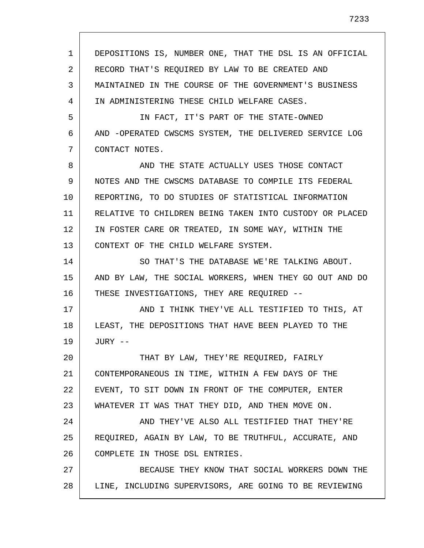1 2 3 4 5 6 7 8 9 10 11 12 13 14 15 16 17 18 19 20 21 22 23 24 25 26 27 28 DEPOSITIONS IS, NUMBER ONE, THAT THE DSL IS AN OFFICIAL RECORD THAT'S REQUIRED BY LAW TO BE CREATED AND MAINTAINED IN THE COURSE OF THE GOVERNMENT'S BUSINESS IN ADMINISTERING THESE CHILD WELFARE CASES. IN FACT, IT'S PART OF THE STATE-OWNED AND -OPERATED CWSCMS SYSTEM, THE DELIVERED SERVICE LOG CONTACT NOTES. AND THE STATE ACTUALLY USES THOSE CONTACT NOTES AND THE CWSCMS DATABASE TO COMPILE ITS FEDERAL REPORTING, TO DO STUDIES OF STATISTICAL INFORMATION RELATIVE TO CHILDREN BEING TAKEN INTO CUSTODY OR PLACED IN FOSTER CARE OR TREATED, IN SOME WAY, WITHIN THE CONTEXT OF THE CHILD WELFARE SYSTEM. SO THAT'S THE DATABASE WE'RE TALKING ABOUT. AND BY LAW, THE SOCIAL WORKERS, WHEN THEY GO OUT AND DO THESE INVESTIGATIONS, THEY ARE REQUIRED -- AND I THINK THEY'VE ALL TESTIFIED TO THIS, AT LEAST, THE DEPOSITIONS THAT HAVE BEEN PLAYED TO THE JURY -- THAT BY LAW, THEY'RE REQUIRED, FAIRLY CONTEMPORANEOUS IN TIME, WITHIN A FEW DAYS OF THE EVENT, TO SIT DOWN IN FRONT OF THE COMPUTER, ENTER WHATEVER IT WAS THAT THEY DID, AND THEN MOVE ON. AND THEY'VE ALSO ALL TESTIFIED THAT THEY'RE REQUIRED, AGAIN BY LAW, TO BE TRUTHFUL, ACCURATE, AND COMPLETE IN THOSE DSL ENTRIES. BECAUSE THEY KNOW THAT SOCIAL WORKERS DOWN THE LINE, INCLUDING SUPERVISORS, ARE GOING TO BE REVIEWING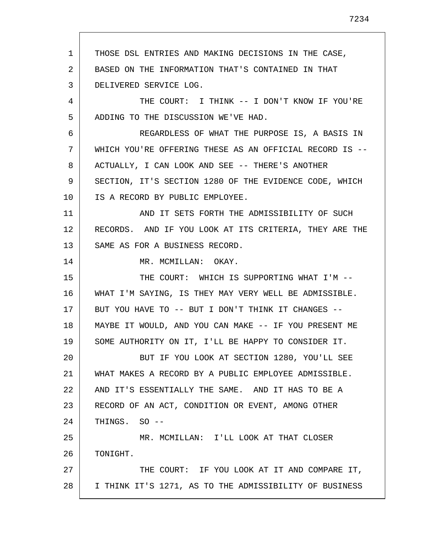1 2 3 4 5 6 7 8 9 10 11 12 13 14 15 16 17 18 19 20 21 22 23 24 25 26 27 28 THOSE DSL ENTRIES AND MAKING DECISIONS IN THE CASE, BASED ON THE INFORMATION THAT'S CONTAINED IN THAT DELIVERED SERVICE LOG. THE COURT: I THINK -- I DON'T KNOW IF YOU'RE ADDING TO THE DISCUSSION WE'VE HAD. REGARDLESS OF WHAT THE PURPOSE IS, A BASIS IN WHICH YOU'RE OFFERING THESE AS AN OFFICIAL RECORD IS -- ACTUALLY, I CAN LOOK AND SEE -- THERE'S ANOTHER SECTION, IT'S SECTION 1280 OF THE EVIDENCE CODE, WHICH IS A RECORD BY PUBLIC EMPLOYEE. AND IT SETS FORTH THE ADMISSIBILITY OF SUCH RECORDS. AND IF YOU LOOK AT ITS CRITERIA, THEY ARE THE SAME AS FOR A BUSINESS RECORD. MR. MCMILLAN: OKAY. THE COURT: WHICH IS SUPPORTING WHAT I'M -- WHAT I'M SAYING, IS THEY MAY VERY WELL BE ADMISSIBLE. BUT YOU HAVE TO -- BUT I DON'T THINK IT CHANGES -- MAYBE IT WOULD, AND YOU CAN MAKE -- IF YOU PRESENT ME SOME AUTHORITY ON IT, I'LL BE HAPPY TO CONSIDER IT. BUT IF YOU LOOK AT SECTION 1280, YOU'LL SEE WHAT MAKES A RECORD BY A PUBLIC EMPLOYEE ADMISSIBLE. AND IT'S ESSENTIALLY THE SAME. AND IT HAS TO BE A RECORD OF AN ACT, CONDITION OR EVENT, AMONG OTHER THINGS. SO -- MR. MCMILLAN: I'LL LOOK AT THAT CLOSER TONIGHT. THE COURT: IF YOU LOOK AT IT AND COMPARE IT, I THINK IT'S 1271, AS TO THE ADMISSIBILITY OF BUSINESS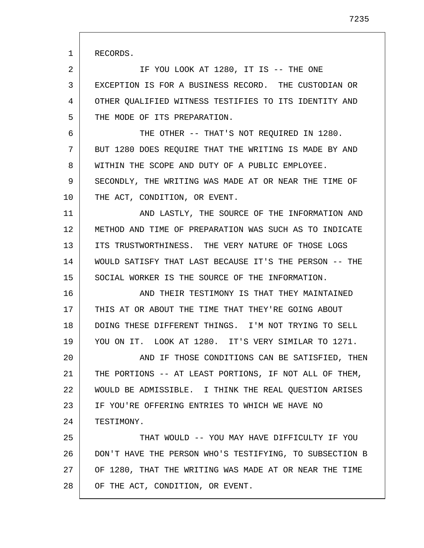RECORDS.

1

2 3 4 5 IF YOU LOOK AT 1280, IT IS -- THE ONE EXCEPTION IS FOR A BUSINESS RECORD. THE CUSTODIAN OR OTHER QUALIFIED WITNESS TESTIFIES TO ITS IDENTITY AND THE MODE OF ITS PREPARATION.

6 7 8 9 THE OTHER -- THAT'S NOT REOUIRED IN 1280. BUT 1280 DOES REQUIRE THAT THE WRITING IS MADE BY AND WITHIN THE SCOPE AND DUTY OF A PUBLIC EMPLOYEE. SECONDLY, THE WRITING WAS MADE AT OR NEAR THE TIME OF

10 THE ACT, CONDITION, OR EVENT.

11 12 13 14 15 AND LASTLY, THE SOURCE OF THE INFORMATION AND METHOD AND TIME OF PREPARATION WAS SUCH AS TO INDICATE ITS TRUSTWORTHINESS. THE VERY NATURE OF THOSE LOGS WOULD SATISFY THAT LAST BECAUSE IT'S THE PERSON -- THE SOCIAL WORKER IS THE SOURCE OF THE INFORMATION.

16 17 18 19 AND THEIR TESTIMONY IS THAT THEY MAINTAINED THIS AT OR ABOUT THE TIME THAT THEY'RE GOING ABOUT DOING THESE DIFFERENT THINGS. I'M NOT TRYING TO SELL YOU ON IT. LOOK AT 1280. IT'S VERY SIMILAR TO 1271.

20 21 22 23 24 AND IF THOSE CONDITIONS CAN BE SATISFIED, THEN THE PORTIONS -- AT LEAST PORTIONS, IF NOT ALL OF THEM, WOULD BE ADMISSIBLE. I THINK THE REAL QUESTION ARISES IF YOU'RE OFFERING ENTRIES TO WHICH WE HAVE NO TESTIMONY.

25 26 27 28 THAT WOULD -- YOU MAY HAVE DIFFICULTY IF YOU DON'T HAVE THE PERSON WHO'S TESTIFYING, TO SUBSECTION B OF 1280, THAT THE WRITING WAS MADE AT OR NEAR THE TIME OF THE ACT, CONDITION, OR EVENT.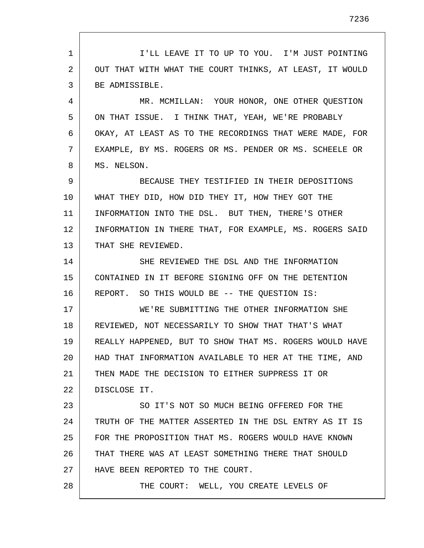1 2 3 4 5 6 7 8 9 10 11 12 13 14 15 16 17 18 19 20 21 22 23 24 25 26 27 28 I'LL LEAVE IT TO UP TO YOU. I'M JUST POINTING OUT THAT WITH WHAT THE COURT THINKS, AT LEAST, IT WOULD BE ADMISSIBLE. MR. MCMILLAN: YOUR HONOR, ONE OTHER QUESTION ON THAT ISSUE. I THINK THAT, YEAH, WE'RE PROBABLY OKAY, AT LEAST AS TO THE RECORDINGS THAT WERE MADE, FOR EXAMPLE, BY MS. ROGERS OR MS. PENDER OR MS. SCHEELE OR MS. NELSON. BECAUSE THEY TESTIFIED IN THEIR DEPOSITIONS WHAT THEY DID, HOW DID THEY IT, HOW THEY GOT THE INFORMATION INTO THE DSL. BUT THEN, THERE'S OTHER INFORMATION IN THERE THAT, FOR EXAMPLE, MS. ROGERS SAID THAT SHE REVIEWED. SHE REVIEWED THE DSL AND THE INFORMATION CONTAINED IN IT BEFORE SIGNING OFF ON THE DETENTION REPORT. SO THIS WOULD BE -- THE QUESTION IS: WE'RE SUBMITTING THE OTHER INFORMATION SHE REVIEWED, NOT NECESSARILY TO SHOW THAT THAT'S WHAT REALLY HAPPENED, BUT TO SHOW THAT MS. ROGERS WOULD HAVE HAD THAT INFORMATION AVAILABLE TO HER AT THE TIME, AND THEN MADE THE DECISION TO EITHER SUPPRESS IT OR DISCLOSE IT. SO IT'S NOT SO MUCH BEING OFFERED FOR THE TRUTH OF THE MATTER ASSERTED IN THE DSL ENTRY AS IT IS FOR THE PROPOSITION THAT MS. ROGERS WOULD HAVE KNOWN THAT THERE WAS AT LEAST SOMETHING THERE THAT SHOULD HAVE BEEN REPORTED TO THE COURT. THE COURT: WELL, YOU CREATE LEVELS OF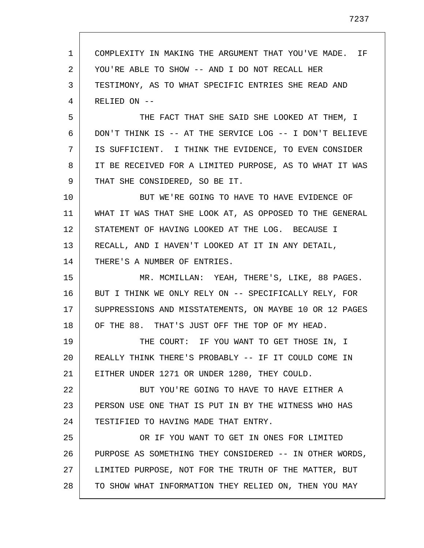1 2 3 4 5 6 7 8 9 10 11 12 13 14 15 16 17 18 19 20 21 22 23 24 25 26 27 28 COMPLEXITY IN MAKING THE ARGUMENT THAT YOU'VE MADE. IF YOU'RE ABLE TO SHOW -- AND I DO NOT RECALL HER TESTIMONY, AS TO WHAT SPECIFIC ENTRIES SHE READ AND RELIED ON -- THE FACT THAT SHE SAID SHE LOOKED AT THEM, I DON'T THINK IS -- AT THE SERVICE LOG -- I DON'T BELIEVE IS SUFFICIENT. I THINK THE EVIDENCE, TO EVEN CONSIDER IT BE RECEIVED FOR A LIMITED PURPOSE, AS TO WHAT IT WAS THAT SHE CONSIDERED, SO BE IT. BUT WE'RE GOING TO HAVE TO HAVE EVIDENCE OF WHAT IT WAS THAT SHE LOOK AT, AS OPPOSED TO THE GENERAL STATEMENT OF HAVING LOOKED AT THE LOG. BECAUSE I RECALL, AND I HAVEN'T LOOKED AT IT IN ANY DETAIL, THERE'S A NUMBER OF ENTRIES. MR. MCMILLAN: YEAH, THERE'S, LIKE, 88 PAGES. BUT I THINK WE ONLY RELY ON -- SPECIFICALLY RELY, FOR SUPPRESSIONS AND MISSTATEMENTS, ON MAYBE 10 OR 12 PAGES OF THE 88. THAT'S JUST OFF THE TOP OF MY HEAD. THE COURT: IF YOU WANT TO GET THOSE IN, I REALLY THINK THERE'S PROBABLY -- IF IT COULD COME IN EITHER UNDER 1271 OR UNDER 1280, THEY COULD. BUT YOU'RE GOING TO HAVE TO HAVE EITHER A PERSON USE ONE THAT IS PUT IN BY THE WITNESS WHO HAS TESTIFIED TO HAVING MADE THAT ENTRY. OR IF YOU WANT TO GET IN ONES FOR LIMITED PURPOSE AS SOMETHING THEY CONSIDERED -- IN OTHER WORDS, LIMITED PURPOSE, NOT FOR THE TRUTH OF THE MATTER, BUT TO SHOW WHAT INFORMATION THEY RELIED ON, THEN YOU MAY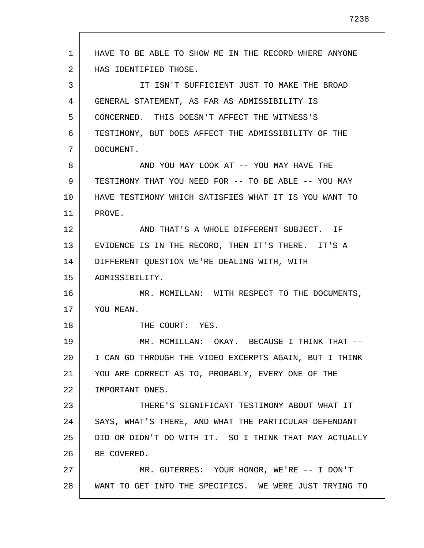1 2 3 4 5 6 7 8 9 10 11 12 13 14 15 16 17 18 19 20 21 22 23 24 25 26 27 28 HAVE TO BE ABLE TO SHOW ME IN THE RECORD WHERE ANYONE HAS IDENTIFIED THOSE. IT ISN'T SUFFICIENT JUST TO MAKE THE BROAD GENERAL STATEMENT, AS FAR AS ADMISSIBILITY IS CONCERNED. THIS DOESN'T AFFECT THE WITNESS'S TESTIMONY, BUT DOES AFFECT THE ADMISSIBILITY OF THE DOCUMENT. AND YOU MAY LOOK AT -- YOU MAY HAVE THE TESTIMONY THAT YOU NEED FOR -- TO BE ABLE -- YOU MAY HAVE TESTIMONY WHICH SATISFIES WHAT IT IS YOU WANT TO PROVE. AND THAT'S A WHOLE DIFFERENT SUBJECT. IF EVIDENCE IS IN THE RECORD, THEN IT'S THERE. IT'S A DIFFERENT QUESTION WE'RE DEALING WITH, WITH ADMISSIBILITY. MR. MCMILLAN: WITH RESPECT TO THE DOCUMENTS, YOU MEAN. THE COURT: YES. MR. MCMILLAN: OKAY. BECAUSE I THINK THAT -- I CAN GO THROUGH THE VIDEO EXCERPTS AGAIN, BUT I THINK YOU ARE CORRECT AS TO, PROBABLY, EVERY ONE OF THE IMPORTANT ONES. THERE'S SIGNIFICANT TESTIMONY ABOUT WHAT IT SAYS, WHAT'S THERE, AND WHAT THE PARTICULAR DEFENDANT DID OR DIDN'T DO WITH IT. SO I THINK THAT MAY ACTUALLY BE COVERED. MR. GUTERRES: YOUR HONOR, WE'RE -- I DON'T WANT TO GET INTO THE SPECIFICS. WE WERE JUST TRYING TO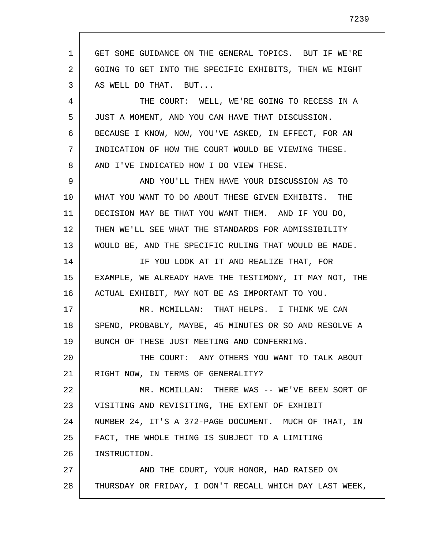1 2 3 4 5 6 7 8 9 10 11 12 13 14 15 16 17 18 19 20 21 22 23 24 25 26 27 28 GET SOME GUIDANCE ON THE GENERAL TOPICS. BUT IF WE'RE GOING TO GET INTO THE SPECIFIC EXHIBITS, THEN WE MIGHT AS WELL DO THAT. BUT... THE COURT: WELL, WE'RE GOING TO RECESS IN A JUST A MOMENT, AND YOU CAN HAVE THAT DISCUSSION. BECAUSE I KNOW, NOW, YOU'VE ASKED, IN EFFECT, FOR AN INDICATION OF HOW THE COURT WOULD BE VIEWING THESE. AND I'VE INDICATED HOW I DO VIEW THESE. AND YOU'LL THEN HAVE YOUR DISCUSSION AS TO WHAT YOU WANT TO DO ABOUT THESE GIVEN EXHIBITS. THE DECISION MAY BE THAT YOU WANT THEM. AND IF YOU DO, THEN WE'LL SEE WHAT THE STANDARDS FOR ADMISSIBILITY WOULD BE, AND THE SPECIFIC RULING THAT WOULD BE MADE. IF YOU LOOK AT IT AND REALIZE THAT, FOR EXAMPLE, WE ALREADY HAVE THE TESTIMONY, IT MAY NOT, THE ACTUAL EXHIBIT, MAY NOT BE AS IMPORTANT TO YOU. MR. MCMILLAN: THAT HELPS. I THINK WE CAN SPEND, PROBABLY, MAYBE, 45 MINUTES OR SO AND RESOLVE A BUNCH OF THESE JUST MEETING AND CONFERRING. THE COURT: ANY OTHERS YOU WANT TO TALK ABOUT RIGHT NOW, IN TERMS OF GENERALITY? MR. MCMILLAN: THERE WAS -- WE'VE BEEN SORT OF VISITING AND REVISITING, THE EXTENT OF EXHIBIT NUMBER 24, IT'S A 372-PAGE DOCUMENT. MUCH OF THAT, IN FACT, THE WHOLE THING IS SUBJECT TO A LIMITING INSTRUCTION. AND THE COURT, YOUR HONOR, HAD RAISED ON THURSDAY OR FRIDAY, I DON'T RECALL WHICH DAY LAST WEEK,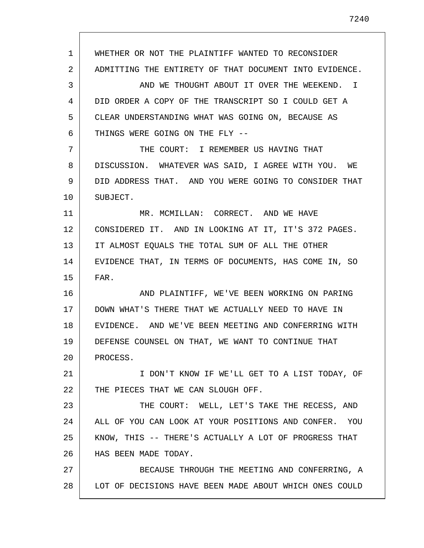1 2 3 4 5 6 7 8 9 10 11 12 13 14 15 16 17 18 19 20 21 22 23 24 25 26 27 28 WHETHER OR NOT THE PLAINTIFF WANTED TO RECONSIDER ADMITTING THE ENTIRETY OF THAT DOCUMENT INTO EVIDENCE. AND WE THOUGHT ABOUT IT OVER THE WEEKEND. I DID ORDER A COPY OF THE TRANSCRIPT SO I COULD GET A CLEAR UNDERSTANDING WHAT WAS GOING ON, BECAUSE AS THINGS WERE GOING ON THE FLY -- THE COURT: I REMEMBER US HAVING THAT DISCUSSION. WHATEVER WAS SAID, I AGREE WITH YOU. WE DID ADDRESS THAT. AND YOU WERE GOING TO CONSIDER THAT SUBJECT. MR. MCMILLAN: CORRECT. AND WE HAVE CONSIDERED IT. AND IN LOOKING AT IT, IT'S 372 PAGES. IT ALMOST EQUALS THE TOTAL SUM OF ALL THE OTHER EVIDENCE THAT, IN TERMS OF DOCUMENTS, HAS COME IN, SO FAR. AND PLAINTIFF, WE'VE BEEN WORKING ON PARING DOWN WHAT'S THERE THAT WE ACTUALLY NEED TO HAVE IN EVIDENCE. AND WE'VE BEEN MEETING AND CONFERRING WITH DEFENSE COUNSEL ON THAT, WE WANT TO CONTINUE THAT PROCESS. I DON'T KNOW IF WE'LL GET TO A LIST TODAY, OF THE PIECES THAT WE CAN SLOUGH OFF. THE COURT: WELL, LET'S TAKE THE RECESS, AND ALL OF YOU CAN LOOK AT YOUR POSITIONS AND CONFER. YOU KNOW, THIS -- THERE'S ACTUALLY A LOT OF PROGRESS THAT HAS BEEN MADE TODAY. BECAUSE THROUGH THE MEETING AND CONFERRING, A LOT OF DECISIONS HAVE BEEN MADE ABOUT WHICH ONES COULD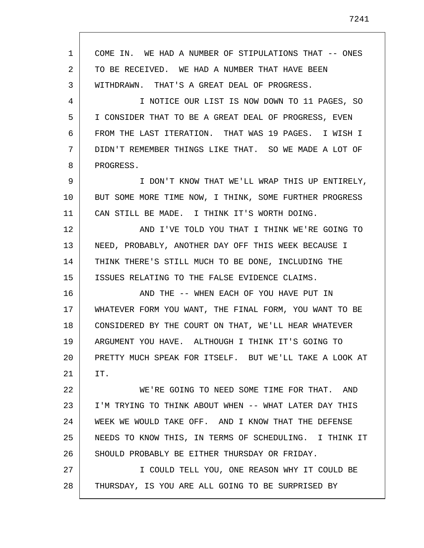| 1  | COME IN. WE HAD A NUMBER OF STIPULATIONS THAT -- ONES  |
|----|--------------------------------------------------------|
| 2  | TO BE RECEIVED. WE HAD A NUMBER THAT HAVE BEEN         |
| 3  | WITHDRAWN. THAT'S A GREAT DEAL OF PROGRESS.            |
| 4  | I NOTICE OUR LIST IS NOW DOWN TO 11 PAGES, SO          |
| 5  | I CONSIDER THAT TO BE A GREAT DEAL OF PROGRESS, EVEN   |
| 6  | FROM THE LAST ITERATION. THAT WAS 19 PAGES. I WISH I   |
| 7  | DIDN'T REMEMBER THINGS LIKE THAT. SO WE MADE A LOT OF  |
| 8  | PROGRESS.                                              |
| 9  | I DON'T KNOW THAT WE'LL WRAP THIS UP ENTIRELY,         |
| 10 | BUT SOME MORE TIME NOW, I THINK, SOME FURTHER PROGRESS |
| 11 | CAN STILL BE MADE. I THINK IT'S WORTH DOING.           |
| 12 | AND I'VE TOLD YOU THAT I THINK WE'RE GOING TO          |
| 13 | NEED, PROBABLY, ANOTHER DAY OFF THIS WEEK BECAUSE I    |
| 14 | THINK THERE'S STILL MUCH TO BE DONE, INCLUDING THE     |
| 15 | ISSUES RELATING TO THE FALSE EVIDENCE CLAIMS.          |
| 16 | AND THE -- WHEN EACH OF YOU HAVE PUT IN                |
| 17 | WHATEVER FORM YOU WANT, THE FINAL FORM, YOU WANT TO BE |
| 18 | CONSIDERED BY THE COURT ON THAT, WE'LL HEAR WHATEVER   |
| 19 | ARGUMENT YOU HAVE. ALTHOUGH I THINK IT'S GOING TO      |
| 20 | PRETTY MUCH SPEAK FOR ITSELF. BUT WE'LL TAKE A LOOK AT |
| 21 | IT.                                                    |
| 22 | WE'RE GOING TO NEED SOME TIME FOR THAT. AND            |
| 23 | I'M TRYING TO THINK ABOUT WHEN -- WHAT LATER DAY THIS  |
| 24 | WEEK WE WOULD TAKE OFF. AND I KNOW THAT THE DEFENSE    |
| 25 | NEEDS TO KNOW THIS, IN TERMS OF SCHEDULING. I THINK IT |
| 26 | SHOULD PROBABLY BE EITHER THURSDAY OR FRIDAY.          |
| 27 | I COULD TELL YOU, ONE REASON WHY IT COULD BE           |
| 28 | THURSDAY, IS YOU ARE ALL GOING TO BE SURPRISED BY      |

Г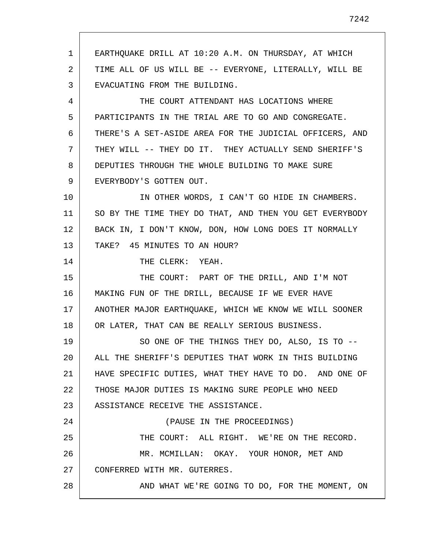1 2 3 4 5 6 7 8 9 10 11 12 13 14 15 16 17 18 19 20 21 22 23 24 25 26 27 28 EARTHQUAKE DRILL AT 10:20 A.M. ON THURSDAY, AT WHICH TIME ALL OF US WILL BE -- EVERYONE, LITERALLY, WILL BE EVACUATING FROM THE BUILDING. THE COURT ATTENDANT HAS LOCATIONS WHERE PARTICIPANTS IN THE TRIAL ARE TO GO AND CONGREGATE. THERE'S A SET-ASIDE AREA FOR THE JUDICIAL OFFICERS, AND THEY WILL -- THEY DO IT. THEY ACTUALLY SEND SHERIFF'S DEPUTIES THROUGH THE WHOLE BUILDING TO MAKE SURE EVERYBODY'S GOTTEN OUT. IN OTHER WORDS, I CAN'T GO HIDE IN CHAMBERS. SO BY THE TIME THEY DO THAT, AND THEN YOU GET EVERYBODY BACK IN, I DON'T KNOW, DON, HOW LONG DOES IT NORMALLY TAKE? 45 MINUTES TO AN HOUR? THE CLERK: YEAH. THE COURT: PART OF THE DRILL, AND I'M NOT MAKING FUN OF THE DRILL, BECAUSE IF WE EVER HAVE ANOTHER MAJOR EARTHQUAKE, WHICH WE KNOW WE WILL SOONER OR LATER, THAT CAN BE REALLY SERIOUS BUSINESS. SO ONE OF THE THINGS THEY DO, ALSO, IS TO -- ALL THE SHERIFF'S DEPUTIES THAT WORK IN THIS BUILDING HAVE SPECIFIC DUTIES, WHAT THEY HAVE TO DO. AND ONE OF THOSE MAJOR DUTIES IS MAKING SURE PEOPLE WHO NEED ASSISTANCE RECEIVE THE ASSISTANCE. (PAUSE IN THE PROCEEDINGS) THE COURT: ALL RIGHT. WE'RE ON THE RECORD. MR. MCMILLAN: OKAY. YOUR HONOR, MET AND CONFERRED WITH MR. GUTERRES. AND WHAT WE'RE GOING TO DO, FOR THE MOMENT, ON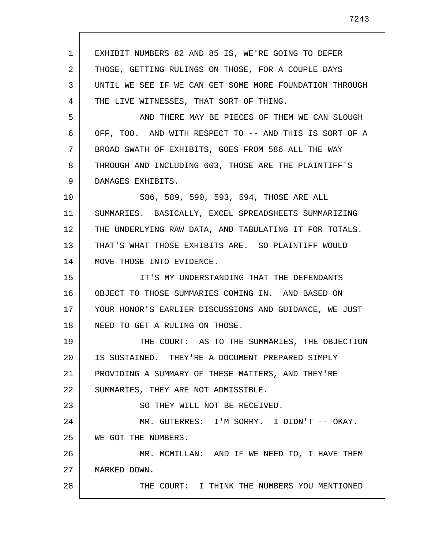1 2 3 4 5 6 7 8 9 10 11 12 13 14 15 16 17 18 19 20 21 22 23 24 25 26 27 28 EXHIBIT NUMBERS 82 AND 85 IS, WE'RE GOING TO DEFER THOSE, GETTING RULINGS ON THOSE, FOR A COUPLE DAYS UNTIL WE SEE IF WE CAN GET SOME MORE FOUNDATION THROUGH THE LIVE WITNESSES, THAT SORT OF THING. AND THERE MAY BE PIECES OF THEM WE CAN SLOUGH OFF, TOO. AND WITH RESPECT TO -- AND THIS IS SORT OF A BROAD SWATH OF EXHIBITS, GOES FROM 586 ALL THE WAY THROUGH AND INCLUDING 603, THOSE ARE THE PLAINTIFF'S DAMAGES EXHIBITS. 586, 589, 590, 593, 594, THOSE ARE ALL SUMMARIES. BASICALLY, EXCEL SPREADSHEETS SUMMARIZING THE UNDERLYING RAW DATA, AND TABULATING IT FOR TOTALS. THAT'S WHAT THOSE EXHIBITS ARE. SO PLAINTIFF WOULD MOVE THOSE INTO EVIDENCE. IT'S MY UNDERSTANDING THAT THE DEFENDANTS OBJECT TO THOSE SUMMARIES COMING IN. AND BASED ON YOUR HONOR'S EARLIER DISCUSSIONS AND GUIDANCE, WE JUST NEED TO GET A RULING ON THOSE. THE COURT: AS TO THE SUMMARIES, THE OBJECTION IS SUSTAINED. THEY'RE A DOCUMENT PREPARED SIMPLY PROVIDING A SUMMARY OF THESE MATTERS, AND THEY'RE SUMMARIES, THEY ARE NOT ADMISSIBLE. SO THEY WILL NOT BE RECEIVED. MR. GUTERRES: I'M SORRY. I DIDN'T -- OKAY. WE GOT THE NUMBERS. MR. MCMILLAN: AND IF WE NEED TO, I HAVE THEM MARKED DOWN. THE COURT: I THINK THE NUMBERS YOU MENTIONED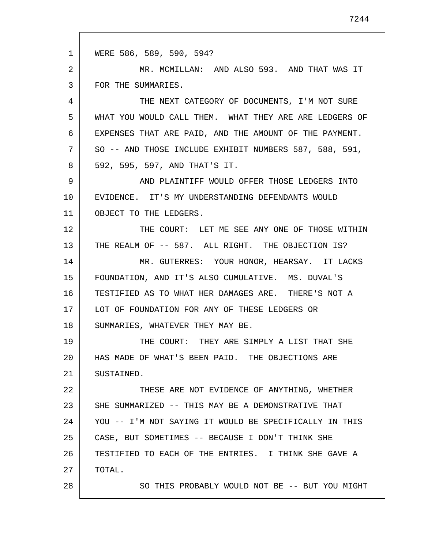1 2 3 4 5 6 7 8 9 10 11 12 13 14 15 16 17 18 19 20 21 22 23 24 25 26 27 28 WERE 586, 589, 590, 594? MR. MCMILLAN: AND ALSO 593. AND THAT WAS IT FOR THE SUMMARIES. THE NEXT CATEGORY OF DOCUMENTS, I'M NOT SURE WHAT YOU WOULD CALL THEM. WHAT THEY ARE ARE LEDGERS OF EXPENSES THAT ARE PAID, AND THE AMOUNT OF THE PAYMENT. SO -- AND THOSE INCLUDE EXHIBIT NUMBERS 587, 588, 591, 592, 595, 597, AND THAT'S IT. AND PLAINTIFF WOULD OFFER THOSE LEDGERS INTO EVIDENCE. IT'S MY UNDERSTANDING DEFENDANTS WOULD OBJECT TO THE LEDGERS. THE COURT: LET ME SEE ANY ONE OF THOSE WITHIN THE REALM OF -- 587. ALL RIGHT. THE OBJECTION IS? MR. GUTERRES: YOUR HONOR, HEARSAY. IT LACKS FOUNDATION, AND IT'S ALSO CUMULATIVE. MS. DUVAL'S TESTIFIED AS TO WHAT HER DAMAGES ARE. THERE'S NOT A LOT OF FOUNDATION FOR ANY OF THESE LEDGERS OR SUMMARIES, WHATEVER THEY MAY BE. THE COURT: THEY ARE SIMPLY A LIST THAT SHE HAS MADE OF WHAT'S BEEN PAID. THE OBJECTIONS ARE SUSTAINED. THESE ARE NOT EVIDENCE OF ANYTHING, WHETHER SHE SUMMARIZED -- THIS MAY BE A DEMONSTRATIVE THAT YOU -- I'M NOT SAYING IT WOULD BE SPECIFICALLY IN THIS CASE, BUT SOMETIMES -- BECAUSE I DON'T THINK SHE TESTIFIED TO EACH OF THE ENTRIES. I THINK SHE GAVE A TOTAL. SO THIS PROBABLY WOULD NOT BE -- BUT YOU MIGHT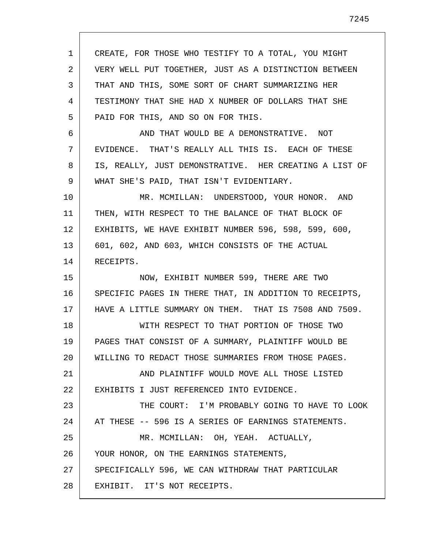1 2 3 4 5 6 7 8 9 10 11 12 13 14 15 16 17 18 19 20 21 22 23 24 25 26 27 28 CREATE, FOR THOSE WHO TESTIFY TO A TOTAL, YOU MIGHT VERY WELL PUT TOGETHER, JUST AS A DISTINCTION BETWEEN THAT AND THIS, SOME SORT OF CHART SUMMARIZING HER TESTIMONY THAT SHE HAD X NUMBER OF DOLLARS THAT SHE PAID FOR THIS, AND SO ON FOR THIS. AND THAT WOULD BE A DEMONSTRATIVE. NOT EVIDENCE. THAT'S REALLY ALL THIS IS. EACH OF THESE IS, REALLY, JUST DEMONSTRATIVE. HER CREATING A LIST OF WHAT SHE'S PAID, THAT ISN'T EVIDENTIARY. MR. MCMILLAN: UNDERSTOOD, YOUR HONOR. AND THEN, WITH RESPECT TO THE BALANCE OF THAT BLOCK OF EXHIBITS, WE HAVE EXHIBIT NUMBER 596, 598, 599, 600, 601, 602, AND 603, WHICH CONSISTS OF THE ACTUAL RECEIPTS. NOW, EXHIBIT NUMBER 599, THERE ARE TWO SPECIFIC PAGES IN THERE THAT, IN ADDITION TO RECEIPTS, HAVE A LITTLE SUMMARY ON THEM. THAT IS 7508 AND 7509. WITH RESPECT TO THAT PORTION OF THOSE TWO PAGES THAT CONSIST OF A SUMMARY, PLAINTIFF WOULD BE WILLING TO REDACT THOSE SUMMARIES FROM THOSE PAGES. AND PLAINTIFF WOULD MOVE ALL THOSE LISTED EXHIBITS I JUST REFERENCED INTO EVIDENCE. THE COURT: I'M PROBABLY GOING TO HAVE TO LOOK AT THESE -- 596 IS A SERIES OF EARNINGS STATEMENTS. MR. MCMILLAN: OH, YEAH. ACTUALLY, YOUR HONOR, ON THE EARNINGS STATEMENTS, SPECIFICALLY 596, WE CAN WITHDRAW THAT PARTICULAR EXHIBIT. IT'S NOT RECEIPTS.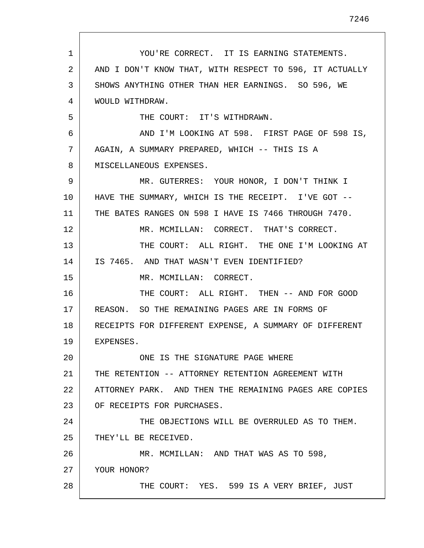1 2 3 4 5 6 7 8 9 10 11 12 13 14 15 16 17 18 19 20 21 22 23 24 25 26 27 28 YOU'RE CORRECT. IT IS EARNING STATEMENTS. AND I DON'T KNOW THAT, WITH RESPECT TO 596, IT ACTUALLY SHOWS ANYTHING OTHER THAN HER EARNINGS. SO 596, WE WOULD WITHDRAW. THE COURT: IT'S WITHDRAWN. AND I'M LOOKING AT 598. FIRST PAGE OF 598 IS, AGAIN, A SUMMARY PREPARED, WHICH -- THIS IS A MISCELLANEOUS EXPENSES. MR. GUTERRES: YOUR HONOR, I DON'T THINK I HAVE THE SUMMARY, WHICH IS THE RECEIPT. I'VE GOT --THE BATES RANGES ON 598 I HAVE IS 7466 THROUGH 7470. MR. MCMILLAN: CORRECT. THAT'S CORRECT. THE COURT: ALL RIGHT. THE ONE I'M LOOKING AT IS 7465. AND THAT WASN'T EVEN IDENTIFIED? MR. MCMILLAN: CORRECT. THE COURT: ALL RIGHT. THEN -- AND FOR GOOD REASON. SO THE REMAINING PAGES ARE IN FORMS OF RECEIPTS FOR DIFFERENT EXPENSE, A SUMMARY OF DIFFERENT EXPENSES. ONE IS THE SIGNATURE PAGE WHERE THE RETENTION -- ATTORNEY RETENTION AGREEMENT WITH ATTORNEY PARK. AND THEN THE REMAINING PAGES ARE COPIES OF RECEIPTS FOR PURCHASES. THE OBJECTIONS WILL BE OVERRULED AS TO THEM. THEY'LL BE RECEIVED. MR. MCMILLAN: AND THAT WAS AS TO 598, YOUR HONOR? THE COURT: YES. 599 IS A VERY BRIEF, JUST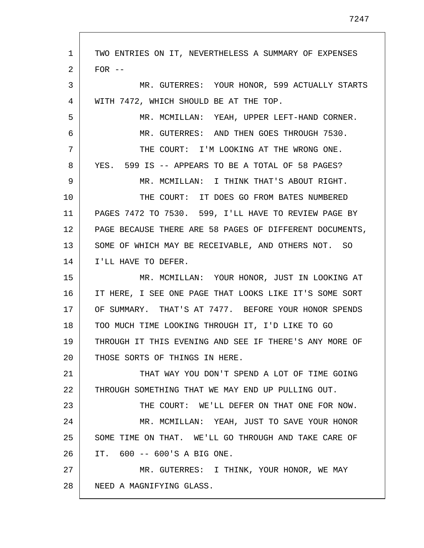| 1  | TWO ENTRIES ON IT, NEVERTHELESS A SUMMARY OF EXPENSES   |
|----|---------------------------------------------------------|
| 2  | $FOR$ --                                                |
| 3  | MR. GUTERRES: YOUR HONOR, 599 ACTUALLY STARTS           |
| 4  | WITH 7472, WHICH SHOULD BE AT THE TOP.                  |
| 5  | MR. MCMILLAN: YEAH, UPPER LEFT-HAND CORNER.             |
| 6  | MR. GUTERRES: AND THEN GOES THROUGH 7530.               |
| 7  | THE COURT: I'M LOOKING AT THE WRONG ONE.                |
| 8  | YES. 599 IS -- APPEARS TO BE A TOTAL OF 58 PAGES?       |
| 9  | MR. MCMILLAN: I THINK THAT'S ABOUT RIGHT.               |
| 10 | THE COURT: IT DOES GO FROM BATES NUMBERED               |
| 11 | PAGES 7472 TO 7530. 599, I'LL HAVE TO REVIEW PAGE BY    |
| 12 | PAGE BECAUSE THERE ARE 58 PAGES OF DIFFERENT DOCUMENTS, |
| 13 | SOME OF WHICH MAY BE RECEIVABLE, AND OTHERS NOT. SO     |
| 14 | I'LL HAVE TO DEFER.                                     |
| 15 | MR. MCMILLAN: YOUR HONOR, JUST IN LOOKING AT            |
| 16 | IT HERE, I SEE ONE PAGE THAT LOOKS LIKE IT'S SOME SORT  |
| 17 | OF SUMMARY. THAT'S AT 7477. BEFORE YOUR HONOR SPENDS    |
| 18 | TOO MUCH TIME LOOKING THROUGH IT, I'D LIKE TO GO        |
| 19 | THROUGH IT THIS EVENING AND SEE IF THERE'S ANY MORE OF  |
| 20 | THOSE SORTS OF THINGS IN HERE.                          |
| 21 | THAT WAY YOU DON'T SPEND A LOT OF TIME GOING            |
| 22 | THROUGH SOMETHING THAT WE MAY END UP PULLING OUT.       |
| 23 | THE COURT: WE'LL DEFER ON THAT ONE FOR NOW.             |
| 24 | MR. MCMILLAN: YEAH, JUST TO SAVE YOUR HONOR             |
| 25 | SOME TIME ON THAT. WE'LL GO THROUGH AND TAKE CARE OF    |
| 26 | IT. 600 -- 600'S A BIG ONE.                             |
| 27 | MR. GUTERRES: I THINK, YOUR HONOR, WE MAY               |
| 28 | NEED A MAGNIFYING GLASS.                                |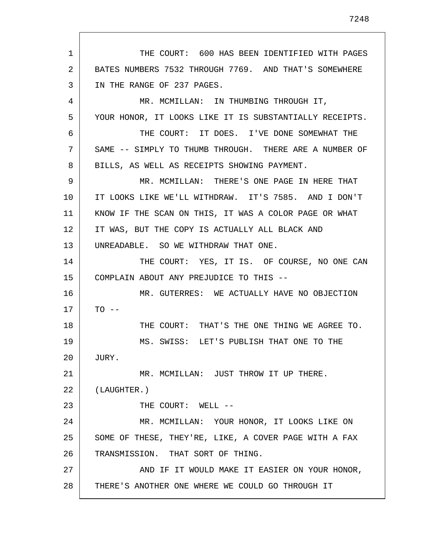1 2 3 4 5 6 7 8 9 10 11 12 13 14 15 16 17 18 19 20 21 22 23 24 25 26 27 28 THE COURT: 600 HAS BEEN IDENTIFIED WITH PAGES BATES NUMBERS 7532 THROUGH 7769. AND THAT'S SOMEWHERE IN THE RANGE OF 237 PAGES. MR. MCMILLAN: IN THUMBING THROUGH IT, YOUR HONOR, IT LOOKS LIKE IT IS SUBSTANTIALLY RECEIPTS. THE COURT: IT DOES. I'VE DONE SOMEWHAT THE SAME -- SIMPLY TO THUMB THROUGH. THERE ARE A NUMBER OF BILLS, AS WELL AS RECEIPTS SHOWING PAYMENT. MR. MCMILLAN: THERE'S ONE PAGE IN HERE THAT IT LOOKS LIKE WE'LL WITHDRAW. IT'S 7585. AND I DON'T KNOW IF THE SCAN ON THIS, IT WAS A COLOR PAGE OR WHAT IT WAS, BUT THE COPY IS ACTUALLY ALL BLACK AND UNREADABLE. SO WE WITHDRAW THAT ONE. THE COURT: YES, IT IS. OF COURSE, NO ONE CAN COMPLAIN ABOUT ANY PREJUDICE TO THIS -- MR. GUTERRES: WE ACTUALLY HAVE NO OBJECTION  $TO - -$ THE COURT: THAT'S THE ONE THING WE AGREE TO. MS. SWISS: LET'S PUBLISH THAT ONE TO THE JURY. MR. MCMILLAN: JUST THROW IT UP THERE. (LAUGHTER.) THE COURT: WELL --MR. MCMILLAN: YOUR HONOR, IT LOOKS LIKE ON SOME OF THESE, THEY'RE, LIKE, A COVER PAGE WITH A FAX TRANSMISSION. THAT SORT OF THING. AND IF IT WOULD MAKE IT EASIER ON YOUR HONOR, THERE'S ANOTHER ONE WHERE WE COULD GO THROUGH IT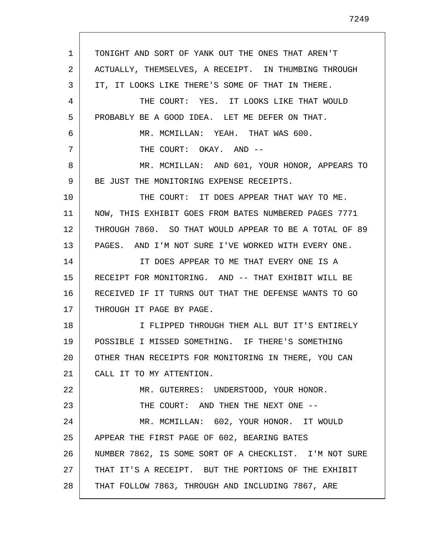1 2 3 4 5 6 7 8 9 10 11 12 13 14 15 16 17 18 19 20 21 22 23 24 25 26 27 28 TONIGHT AND SORT OF YANK OUT THE ONES THAT AREN'T ACTUALLY, THEMSELVES, A RECEIPT. IN THUMBING THROUGH IT, IT LOOKS LIKE THERE'S SOME OF THAT IN THERE. THE COURT: YES. IT LOOKS LIKE THAT WOULD PROBABLY BE A GOOD IDEA. LET ME DEFER ON THAT. MR. MCMILLAN: YEAH. THAT WAS 600. THE COURT: OKAY. AND -- MR. MCMILLAN: AND 601, YOUR HONOR, APPEARS TO BE JUST THE MONITORING EXPENSE RECEIPTS. THE COURT: IT DOES APPEAR THAT WAY TO ME. NOW, THIS EXHIBIT GOES FROM BATES NUMBERED PAGES 7771 THROUGH 7860. SO THAT WOULD APPEAR TO BE A TOTAL OF 89 PAGES. AND I'M NOT SURE I'VE WORKED WITH EVERY ONE. IT DOES APPEAR TO ME THAT EVERY ONE IS A RECEIPT FOR MONITORING. AND -- THAT EXHIBIT WILL BE RECEIVED IF IT TURNS OUT THAT THE DEFENSE WANTS TO GO THROUGH IT PAGE BY PAGE. I FLIPPED THROUGH THEM ALL BUT IT'S ENTIRELY POSSIBLE I MISSED SOMETHING. IF THERE'S SOMETHING OTHER THAN RECEIPTS FOR MONITORING IN THERE, YOU CAN CALL IT TO MY ATTENTION. MR. GUTERRES: UNDERSTOOD, YOUR HONOR. THE COURT: AND THEN THE NEXT ONE --MR. MCMILLAN: 602, YOUR HONOR. IT WOULD APPEAR THE FIRST PAGE OF 602, BEARING BATES NUMBER 7862, IS SOME SORT OF A CHECKLIST. I'M NOT SURE THAT IT'S A RECEIPT. BUT THE PORTIONS OF THE EXHIBIT THAT FOLLOW 7863, THROUGH AND INCLUDING 7867, ARE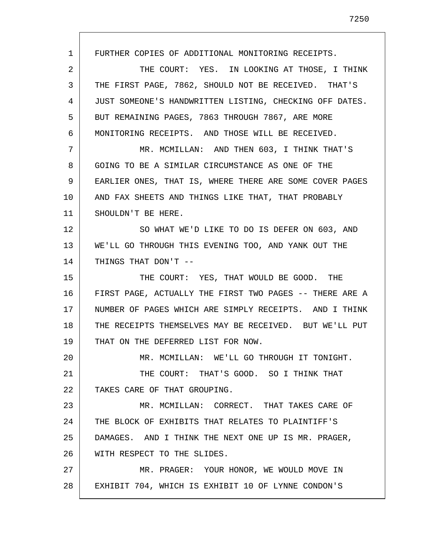1 2 3 4 5 6 7 8 9 10 11 12 13 14 15 16 17 18 19 20 21 22 23 24 25 26 27 28 FURTHER COPIES OF ADDITIONAL MONITORING RECEIPTS. THE COURT: YES. IN LOOKING AT THOSE, I THINK THE FIRST PAGE, 7862, SHOULD NOT BE RECEIVED. THAT'S JUST SOMEONE'S HANDWRITTEN LISTING, CHECKING OFF DATES. BUT REMAINING PAGES, 7863 THROUGH 7867, ARE MORE MONITORING RECEIPTS. AND THOSE WILL BE RECEIVED. MR. MCMILLAN: AND THEN 603, I THINK THAT'S GOING TO BE A SIMILAR CIRCUMSTANCE AS ONE OF THE EARLIER ONES, THAT IS, WHERE THERE ARE SOME COVER PAGES AND FAX SHEETS AND THINGS LIKE THAT, THAT PROBABLY SHOULDN'T BE HERE. SO WHAT WE'D LIKE TO DO IS DEFER ON 603, AND WE'LL GO THROUGH THIS EVENING TOO, AND YANK OUT THE THINGS THAT DON'T -- THE COURT: YES, THAT WOULD BE GOOD. THE FIRST PAGE, ACTUALLY THE FIRST TWO PAGES -- THERE ARE A NUMBER OF PAGES WHICH ARE SIMPLY RECEIPTS. AND I THINK THE RECEIPTS THEMSELVES MAY BE RECEIVED. BUT WE'LL PUT THAT ON THE DEFERRED LIST FOR NOW. MR. MCMILLAN: WE'LL GO THROUGH IT TONIGHT. THE COURT: THAT'S GOOD. SO I THINK THAT TAKES CARE OF THAT GROUPING. MR. MCMILLAN: CORRECT. THAT TAKES CARE OF THE BLOCK OF EXHIBITS THAT RELATES TO PLAINTIFF'S DAMAGES. AND I THINK THE NEXT ONE UP IS MR. PRAGER, WITH RESPECT TO THE SLIDES. MR. PRAGER: YOUR HONOR, WE WOULD MOVE IN EXHIBIT 704, WHICH IS EXHIBIT 10 OF LYNNE CONDON'S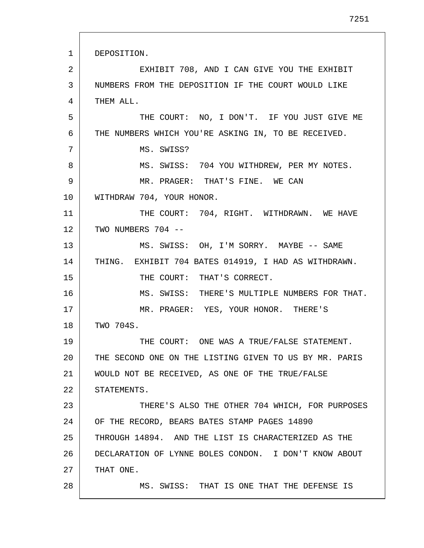1 2 3 4 5 6 7 8 9 10 11 12 13 14 15 16 17 18 19 20 21 22 23 24 25 26 27 28 DEPOSITION. EXHIBIT 708, AND I CAN GIVE YOU THE EXHIBIT NUMBERS FROM THE DEPOSITION IF THE COURT WOULD LIKE THEM ALL. THE COURT: NO, I DON'T. IF YOU JUST GIVE ME THE NUMBERS WHICH YOU'RE ASKING IN, TO BE RECEIVED. MS. SWISS? MS. SWISS: 704 YOU WITHDREW, PER MY NOTES. MR. PRAGER: THAT'S FINE. WE CAN WITHDRAW 704, YOUR HONOR. THE COURT: 704, RIGHT. WITHDRAWN. WE HAVE TWO NUMBERS 704 -- MS. SWISS: OH, I'M SORRY. MAYBE -- SAME THING. EXHIBIT 704 BATES 014919, I HAD AS WITHDRAWN. THE COURT: THAT'S CORRECT. MS. SWISS: THERE'S MULTIPLE NUMBERS FOR THAT. MR. PRAGER: YES, YOUR HONOR. THERE'S TWO 704S. THE COURT: ONE WAS A TRUE/FALSE STATEMENT. THE SECOND ONE ON THE LISTING GIVEN TO US BY MR. PARIS WOULD NOT BE RECEIVED, AS ONE OF THE TRUE/FALSE STATEMENTS. THERE'S ALSO THE OTHER 704 WHICH, FOR PURPOSES OF THE RECORD, BEARS BATES STAMP PAGES 14890 THROUGH 14894. AND THE LIST IS CHARACTERIZED AS THE DECLARATION OF LYNNE BOLES CONDON. I DON'T KNOW ABOUT THAT ONE. MS. SWISS: THAT IS ONE THAT THE DEFENSE IS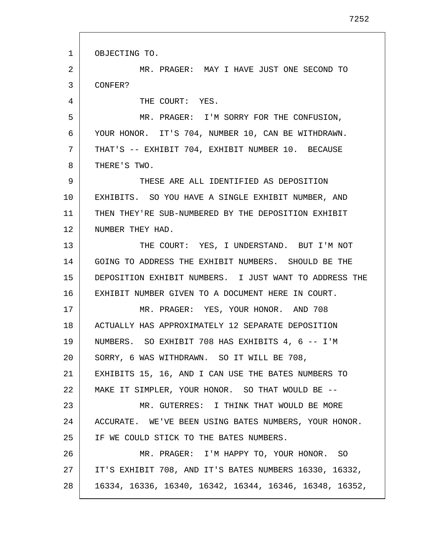1 2 3 4 5 6 7 8 9 10 11 12 13 14 15 16 17 18 19 20 21 22 23 24 25 26 27 28 OBJECTING TO. MR. PRAGER: MAY I HAVE JUST ONE SECOND TO CONFER? THE COURT: YES. MR. PRAGER: I'M SORRY FOR THE CONFUSION, YOUR HONOR. IT'S 704, NUMBER 10, CAN BE WITHDRAWN. THAT'S -- EXHIBIT 704, EXHIBIT NUMBER 10. BECAUSE THERE'S TWO. THESE ARE ALL IDENTIFIED AS DEPOSITION EXHIBITS. SO YOU HAVE A SINGLE EXHIBIT NUMBER, AND THEN THEY'RE SUB-NUMBERED BY THE DEPOSITION EXHIBIT NUMBER THEY HAD. THE COURT: YES, I UNDERSTAND. BUT I'M NOT GOING TO ADDRESS THE EXHIBIT NUMBERS. SHOULD BE THE DEPOSITION EXHIBIT NUMBERS. I JUST WANT TO ADDRESS THE EXHIBIT NUMBER GIVEN TO A DOCUMENT HERE IN COURT. MR. PRAGER: YES, YOUR HONOR. AND 708 ACTUALLY HAS APPROXIMATELY 12 SEPARATE DEPOSITION NUMBERS. SO EXHIBIT 708 HAS EXHIBITS 4, 6 -- I'M SORRY, 6 WAS WITHDRAWN. SO IT WILL BE 708, EXHIBITS 15, 16, AND I CAN USE THE BATES NUMBERS TO MAKE IT SIMPLER, YOUR HONOR. SO THAT WOULD BE -- MR. GUTERRES: I THINK THAT WOULD BE MORE ACCURATE. WE'VE BEEN USING BATES NUMBERS, YOUR HONOR. IF WE COULD STICK TO THE BATES NUMBERS. MR. PRAGER: I'M HAPPY TO, YOUR HONOR. SO IT'S EXHIBIT 708, AND IT'S BATES NUMBERS 16330, 16332, 16334, 16336, 16340, 16342, 16344, 16346, 16348, 16352,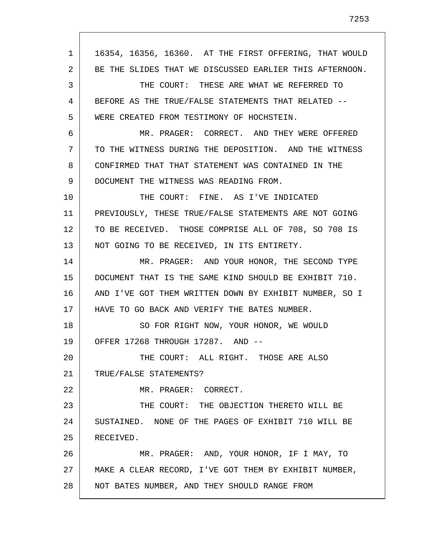1 2 3 4 5 6 7 8 9 10 11 12 13 14 15 16 17 18 19 20 21 22 23 24 25 26 27 28 16354, 16356, 16360. AT THE FIRST OFFERING, THAT WOULD BE THE SLIDES THAT WE DISCUSSED EARLIER THIS AFTERNOON. THE COURT: THESE ARE WHAT WE REFERRED TO BEFORE AS THE TRUE/FALSE STATEMENTS THAT RELATED -- WERE CREATED FROM TESTIMONY OF HOCHSTEIN. MR. PRAGER: CORRECT. AND THEY WERE OFFERED TO THE WITNESS DURING THE DEPOSITION. AND THE WITNESS CONFIRMED THAT THAT STATEMENT WAS CONTAINED IN THE DOCUMENT THE WITNESS WAS READING FROM. THE COURT: FINE. AS I'VE INDICATED PREVIOUSLY, THESE TRUE/FALSE STATEMENTS ARE NOT GOING TO BE RECEIVED. THOSE COMPRISE ALL OF 708, SO 708 IS NOT GOING TO BE RECEIVED, IN ITS ENTIRETY. MR. PRAGER: AND YOUR HONOR, THE SECOND TYPE DOCUMENT THAT IS THE SAME KIND SHOULD BE EXHIBIT 710. AND I'VE GOT THEM WRITTEN DOWN BY EXHIBIT NUMBER, SO I HAVE TO GO BACK AND VERIFY THE BATES NUMBER. SO FOR RIGHT NOW, YOUR HONOR, WE WOULD OFFER 17268 THROUGH 17287. AND -- THE COURT: ALL RIGHT. THOSE ARE ALSO TRUE/FALSE STATEMENTS? MR. PRAGER: CORRECT. THE COURT: THE OBJECTION THERETO WILL BE SUSTAINED. NONE OF THE PAGES OF EXHIBIT 710 WILL BE RECEIVED. MR. PRAGER: AND, YOUR HONOR, IF I MAY, TO MAKE A CLEAR RECORD, I'VE GOT THEM BY EXHIBIT NUMBER, NOT BATES NUMBER, AND THEY SHOULD RANGE FROM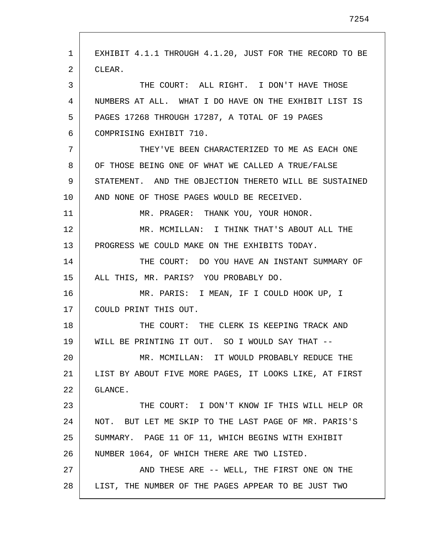1 2 3 4 5 6 7 8 9 10 11 12 13 14 15 16 17 18 19 20 21 22 23 24 25 26 27 28 EXHIBIT 4.1.1 THROUGH 4.1.20, JUST FOR THE RECORD TO BE CLEAR. THE COURT: ALL RIGHT. I DON'T HAVE THOSE NUMBERS AT ALL. WHAT I DO HAVE ON THE EXHIBIT LIST IS PAGES 17268 THROUGH 17287, A TOTAL OF 19 PAGES COMPRISING EXHIBIT 710. THEY'VE BEEN CHARACTERIZED TO ME AS EACH ONE OF THOSE BEING ONE OF WHAT WE CALLED A TRUE/FALSE STATEMENT. AND THE OBJECTION THERETO WILL BE SUSTAINED AND NONE OF THOSE PAGES WOULD BE RECEIVED. MR. PRAGER: THANK YOU, YOUR HONOR. MR. MCMILLAN: I THINK THAT'S ABOUT ALL THE PROGRESS WE COULD MAKE ON THE EXHIBITS TODAY. THE COURT: DO YOU HAVE AN INSTANT SUMMARY OF ALL THIS, MR. PARIS? YOU PROBABLY DO. MR. PARIS: I MEAN, IF I COULD HOOK UP, I COULD PRINT THIS OUT. THE COURT: THE CLERK IS KEEPING TRACK AND WILL BE PRINTING IT OUT. SO I WOULD SAY THAT -- MR. MCMILLAN: IT WOULD PROBABLY REDUCE THE LIST BY ABOUT FIVE MORE PAGES, IT LOOKS LIKE, AT FIRST GLANCE. THE COURT: I DON'T KNOW IF THIS WILL HELP OR NOT. BUT LET ME SKIP TO THE LAST PAGE OF MR. PARIS'S SUMMARY. PAGE 11 OF 11, WHICH BEGINS WITH EXHIBIT NUMBER 1064, OF WHICH THERE ARE TWO LISTED. AND THESE ARE -- WELL, THE FIRST ONE ON THE LIST, THE NUMBER OF THE PAGES APPEAR TO BE JUST TWO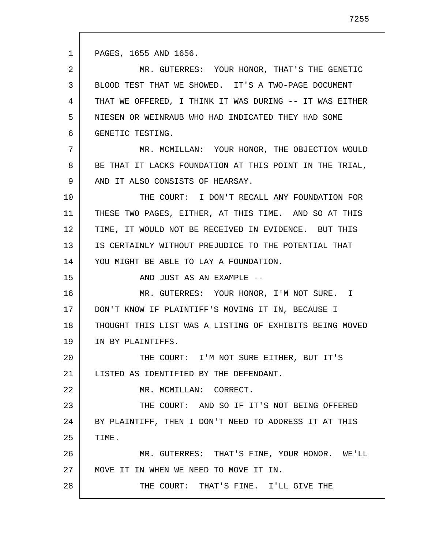1 PAGES, 1655 AND 1656.

15

22

28

2 3 4 5 6 MR. GUTERRES: YOUR HONOR, THAT'S THE GENETIC BLOOD TEST THAT WE SHOWED. IT'S A TWO-PAGE DOCUMENT THAT WE OFFERED, I THINK IT WAS DURING -- IT WAS EITHER NIESEN OR WEINRAUB WHO HAD INDICATED THEY HAD SOME GENETIC TESTING.

7 8 9 MR. MCMILLAN: YOUR HONOR, THE OBJECTION WOULD BE THAT IT LACKS FOUNDATION AT THIS POINT IN THE TRIAL, AND IT ALSO CONSISTS OF HEARSAY.

10 11 12 13 14 THE COURT: I DON'T RECALL ANY FOUNDATION FOR THESE TWO PAGES, EITHER, AT THIS TIME. AND SO AT THIS TIME, IT WOULD NOT BE RECEIVED IN EVIDENCE. BUT THIS IS CERTAINLY WITHOUT PREJUDICE TO THE POTENTIAL THAT YOU MIGHT BE ABLE TO LAY A FOUNDATION.

AND JUST AS AN EXAMPLE --

16 17 18 19 MR. GUTERRES: YOUR HONOR, I'M NOT SURE. I DON'T KNOW IF PLAINTIFF'S MOVING IT IN, BECAUSE I THOUGHT THIS LIST WAS A LISTING OF EXHIBITS BEING MOVED IN BY PLAINTIFFS.

20 21 THE COURT: I'M NOT SURE EITHER, BUT IT'S LISTED AS IDENTIFIED BY THE DEFENDANT.

MR. MCMILLAN: CORRECT.

23 24 25 THE COURT: AND SO IF IT'S NOT BEING OFFERED BY PLAINTIFF, THEN I DON'T NEED TO ADDRESS IT AT THIS TIME.

26 27 MR. GUTERRES: THAT'S FINE, YOUR HONOR. WE'LL MOVE IT IN WHEN WE NEED TO MOVE IT IN.

THE COURT: THAT'S FINE. I'LL GIVE THE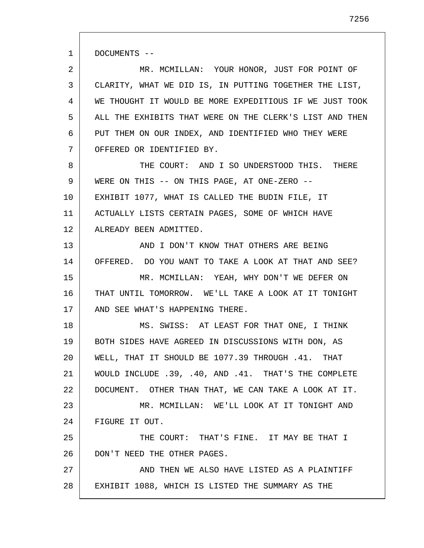1 DOCUMENTS --

2 3 4 5 6 7 MR. MCMILLAN: YOUR HONOR, JUST FOR POINT OF CLARITY, WHAT WE DID IS, IN PUTTING TOGETHER THE LIST, WE THOUGHT IT WOULD BE MORE EXPEDITIOUS IF WE JUST TOOK ALL THE EXHIBITS THAT WERE ON THE CLERK'S LIST AND THEN PUT THEM ON OUR INDEX, AND IDENTIFIED WHO THEY WERE OFFERED OR IDENTIFIED BY.

8 9 10 11 12 THE COURT: AND I SO UNDERSTOOD THIS. THERE WERE ON THIS -- ON THIS PAGE, AT ONE-ZERO -- EXHIBIT 1077, WHAT IS CALLED THE BUDIN FILE, IT ACTUALLY LISTS CERTAIN PAGES, SOME OF WHICH HAVE ALREADY BEEN ADMITTED.

13 14 15 16 17 AND I DON'T KNOW THAT OTHERS ARE BEING OFFERED. DO YOU WANT TO TAKE A LOOK AT THAT AND SEE? MR. MCMILLAN: YEAH, WHY DON'T WE DEFER ON THAT UNTIL TOMORROW. WE'LL TAKE A LOOK AT IT TONIGHT AND SEE WHAT'S HAPPENING THERE.

18 19 20 21 22 23 24 25 26 MS. SWISS: AT LEAST FOR THAT ONE, I THINK BOTH SIDES HAVE AGREED IN DISCUSSIONS WITH DON, AS WELL, THAT IT SHOULD BE 1077.39 THROUGH .41. THAT WOULD INCLUDE .39, .40, AND .41. THAT'S THE COMPLETE DOCUMENT. OTHER THAN THAT, WE CAN TAKE A LOOK AT IT. MR. MCMILLAN: WE'LL LOOK AT IT TONIGHT AND FIGURE IT OUT. THE COURT: THAT'S FINE. IT MAY BE THAT I DON'T NEED THE OTHER PAGES.

27 28 AND THEN WE ALSO HAVE LISTED AS A PLAINTIFF EXHIBIT 1088, WHICH IS LISTED THE SUMMARY AS THE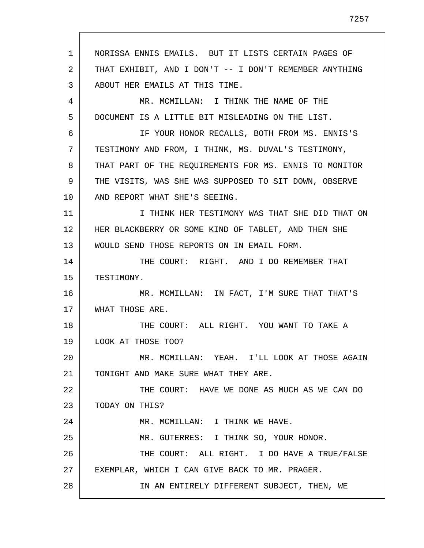1 2 3 4 5 6 7 8 9 10 11 12 13 14 15 16 17 18 19 20 21 22 23 24 25 26 27 28 NORISSA ENNIS EMAILS. BUT IT LISTS CERTAIN PAGES OF THAT EXHIBIT, AND I DON'T -- I DON'T REMEMBER ANYTHING ABOUT HER EMAILS AT THIS TIME. MR. MCMILLAN: I THINK THE NAME OF THE DOCUMENT IS A LITTLE BIT MISLEADING ON THE LIST. IF YOUR HONOR RECALLS, BOTH FROM MS. ENNIS'S TESTIMONY AND FROM, I THINK, MS. DUVAL'S TESTIMONY, THAT PART OF THE REQUIREMENTS FOR MS. ENNIS TO MONITOR THE VISITS, WAS SHE WAS SUPPOSED TO SIT DOWN, OBSERVE AND REPORT WHAT SHE'S SEEING. I THINK HER TESTIMONY WAS THAT SHE DID THAT ON HER BLACKBERRY OR SOME KIND OF TABLET, AND THEN SHE WOULD SEND THOSE REPORTS ON IN EMAIL FORM. THE COURT: RIGHT. AND I DO REMEMBER THAT TESTIMONY. MR. MCMILLAN: IN FACT, I'M SURE THAT THAT'S WHAT THOSE ARE. THE COURT: ALL RIGHT. YOU WANT TO TAKE A LOOK AT THOSE TOO? MR. MCMILLAN: YEAH. I'LL LOOK AT THOSE AGAIN TONIGHT AND MAKE SURE WHAT THEY ARE. THE COURT: HAVE WE DONE AS MUCH AS WE CAN DO TODAY ON THIS? MR. MCMILLAN: I THINK WE HAVE. MR. GUTERRES: I THINK SO, YOUR HONOR. THE COURT: ALL RIGHT. I DO HAVE A TRUE/FALSE EXEMPLAR, WHICH I CAN GIVE BACK TO MR. PRAGER. IN AN ENTIRELY DIFFERENT SUBJECT, THEN, WE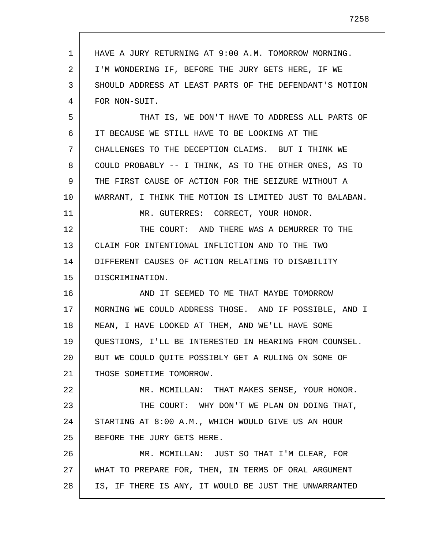| 1  | HAVE A JURY RETURNING AT 9:00 A.M. TOMORROW MORNING.    |
|----|---------------------------------------------------------|
| 2  | I'M WONDERING IF, BEFORE THE JURY GETS HERE, IF WE      |
| 3  | SHOULD ADDRESS AT LEAST PARTS OF THE DEFENDANT'S MOTION |
| 4  | FOR NON-SUIT.                                           |
| 5  | THAT IS, WE DON'T HAVE TO ADDRESS ALL PARTS OF          |
| 6  | IT BECAUSE WE STILL HAVE TO BE LOOKING AT THE           |
| 7  | CHALLENGES TO THE DECEPTION CLAIMS. BUT I THINK WE      |
| 8  | COULD PROBABLY -- I THINK, AS TO THE OTHER ONES, AS TO  |
| 9  | THE FIRST CAUSE OF ACTION FOR THE SEIZURE WITHOUT A     |
| 10 | WARRANT, I THINK THE MOTION IS LIMITED JUST TO BALABAN. |
| 11 | MR. GUTERRES: CORRECT, YOUR HONOR.                      |
| 12 | THE COURT: AND THERE WAS A DEMURRER TO THE              |
| 13 | CLAIM FOR INTENTIONAL INFLICTION AND TO THE TWO         |
| 14 | DIFFERENT CAUSES OF ACTION RELATING TO DISABILITY       |
| 15 | DISCRIMINATION.                                         |
| 16 | AND IT SEEMED TO ME THAT MAYBE TOMORROW                 |
| 17 | MORNING WE COULD ADDRESS THOSE. AND IF POSSIBLE, AND I  |
| 18 | MEAN, I HAVE LOOKED AT THEM, AND WE'LL HAVE SOME        |
| 19 | QUESTIONS, I'LL BE INTERESTED IN HEARING FROM COUNSEL.  |
| 20 | BUT WE COULD OUITE POSSIBLY GET A RULING ON SOME OF     |
| 21 | THOSE SOMETIME TOMORROW.                                |
| 22 | MR. MCMILLAN: THAT MAKES SENSE, YOUR HONOR.             |
| 23 | THE COURT: WHY DON'T WE PLAN ON DOING THAT,             |
| 24 | STARTING AT 8:00 A.M., WHICH WOULD GIVE US AN HOUR      |
| 25 | BEFORE THE JURY GETS HERE.                              |
| 26 | MR. MCMILLAN: JUST SO THAT I'M CLEAR, FOR               |
| 27 | WHAT TO PREPARE FOR, THEN, IN TERMS OF ORAL ARGUMENT    |
| 28 | IS, IF THERE IS ANY, IT WOULD BE JUST THE UNWARRANTED   |
|    |                                                         |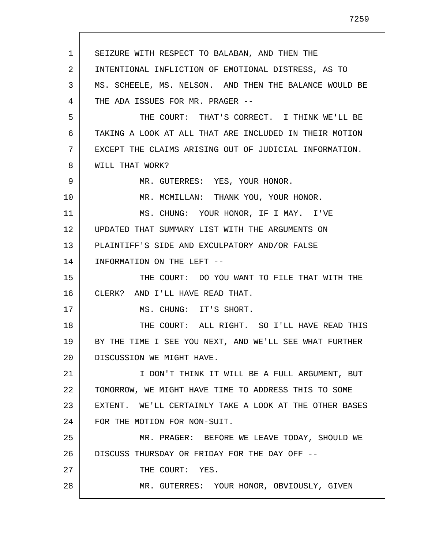1 2 3 4 5 6 7 8 9 10 11 12 13 14 15 16 17 18 19 20 21 22 23 24 25 26 27 28 SEIZURE WITH RESPECT TO BALABAN, AND THEN THE INTENTIONAL INFLICTION OF EMOTIONAL DISTRESS, AS TO MS. SCHEELE, MS. NELSON. AND THEN THE BALANCE WOULD BE THE ADA ISSUES FOR MR. PRAGER -- THE COURT: THAT'S CORRECT. I THINK WE'LL BE TAKING A LOOK AT ALL THAT ARE INCLUDED IN THEIR MOTION EXCEPT THE CLAIMS ARISING OUT OF JUDICIAL INFORMATION. WILL THAT WORK? MR. GUTERRES: YES, YOUR HONOR. MR. MCMILLAN: THANK YOU, YOUR HONOR. MS. CHUNG: YOUR HONOR, IF I MAY. I'VE UPDATED THAT SUMMARY LIST WITH THE ARGUMENTS ON PLAINTIFF'S SIDE AND EXCULPATORY AND/OR FALSE INFORMATION ON THE LEFT -- THE COURT: DO YOU WANT TO FILE THAT WITH THE CLERK? AND I'LL HAVE READ THAT. MS. CHUNG: IT'S SHORT. THE COURT: ALL RIGHT. SO I'LL HAVE READ THIS BY THE TIME I SEE YOU NEXT, AND WE'LL SEE WHAT FURTHER DISCUSSION WE MIGHT HAVE. I DON'T THINK IT WILL BE A FULL ARGUMENT, BUT TOMORROW, WE MIGHT HAVE TIME TO ADDRESS THIS TO SOME EXTENT. WE'LL CERTAINLY TAKE A LOOK AT THE OTHER BASES FOR THE MOTION FOR NON-SUIT. MR. PRAGER: BEFORE WE LEAVE TODAY, SHOULD WE DISCUSS THURSDAY OR FRIDAY FOR THE DAY OFF -- THE COURT: YES. MR. GUTERRES: YOUR HONOR, OBVIOUSLY, GIVEN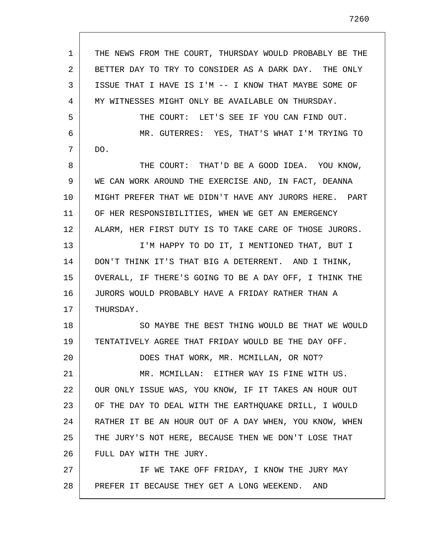| 1  | THE NEWS FROM THE COURT, THURSDAY WOULD PROBABLY BE THE |
|----|---------------------------------------------------------|
| 2  | BETTER DAY TO TRY TO CONSIDER AS A DARK DAY. THE ONLY   |
| 3  | ISSUE THAT I HAVE IS I'M -- I KNOW THAT MAYBE SOME OF   |
| 4  | MY WITNESSES MIGHT ONLY BE AVAILABLE ON THURSDAY.       |
| 5  | THE COURT: LET'S SEE IF YOU CAN FIND OUT.               |
| 6  | MR. GUTERRES: YES, THAT'S WHAT I'M TRYING TO            |
| 7  | DO.                                                     |
| 8  | THE COURT: THAT'D BE A GOOD IDEA. YOU KNOW,             |
| 9  | WE CAN WORK AROUND THE EXERCISE AND, IN FACT, DEANNA    |
| 10 | MIGHT PREFER THAT WE DIDN'T HAVE ANY JURORS HERE. PART  |
| 11 | OF HER RESPONSIBILITIES, WHEN WE GET AN EMERGENCY       |
| 12 | ALARM, HER FIRST DUTY IS TO TAKE CARE OF THOSE JURORS.  |
| 13 | I'M HAPPY TO DO IT, I MENTIONED THAT, BUT I             |
| 14 | DON'T THINK IT'S THAT BIG A DETERRENT. AND I THINK,     |
| 15 | OVERALL, IF THERE'S GOING TO BE A DAY OFF, I THINK THE  |
| 16 | JURORS WOULD PROBABLY HAVE A FRIDAY RATHER THAN A       |
| 17 | THURSDAY.                                               |
| 18 | SO MAYBE THE BEST THING WOULD BE THAT WE WOULD          |
| 19 | TENTATIVELY AGREE THAT FRIDAY WOULD BE THE DAY OFF.     |
| 20 | DOES THAT WORK, MR. MCMILLAN, OR NOT?                   |
| 21 | MR. MCMILLAN: EITHER WAY IS FINE WITH US.               |
| 22 | OUR ONLY ISSUE WAS, YOU KNOW, IF IT TAKES AN HOUR OUT   |
| 23 | OF THE DAY TO DEAL WITH THE EARTHOUAKE DRILL, I WOULD   |
| 24 | RATHER IT BE AN HOUR OUT OF A DAY WHEN, YOU KNOW, WHEN  |
| 25 | THE JURY'S NOT HERE, BECAUSE THEN WE DON'T LOSE THAT    |
| 26 | FULL DAY WITH THE JURY.                                 |
| 27 | IF WE TAKE OFF FRIDAY, I KNOW THE JURY MAY              |
| 28 | PREFER IT BECAUSE THEY GET A LONG WEEKEND.<br>AND       |
|    |                                                         |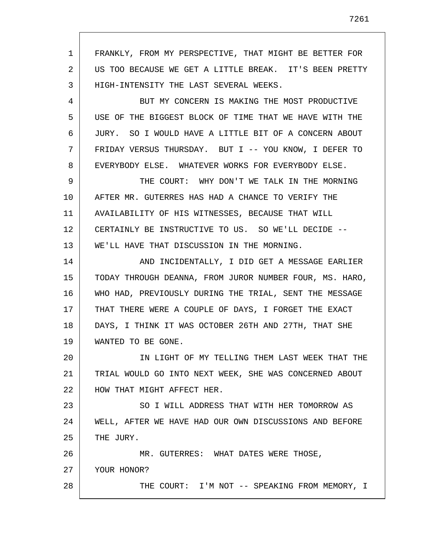1 2 3 FRANKLY, FROM MY PERSPECTIVE, THAT MIGHT BE BETTER FOR US TOO BECAUSE WE GET A LITTLE BREAK. IT'S BEEN PRETTY HIGH-INTENSITY THE LAST SEVERAL WEEKS.

4 5 6 7 8 BUT MY CONCERN IS MAKING THE MOST PRODUCTIVE USE OF THE BIGGEST BLOCK OF TIME THAT WE HAVE WITH THE JURY. SO I WOULD HAVE A LITTLE BIT OF A CONCERN ABOUT FRIDAY VERSUS THURSDAY. BUT I -- YOU KNOW, I DEFER TO EVERYBODY ELSE. WHATEVER WORKS FOR EVERYBODY ELSE.

9 10 11 12 13 THE COURT: WHY DON'T WE TALK IN THE MORNING AFTER MR. GUTERRES HAS HAD A CHANCE TO VERIFY THE AVAILABILITY OF HIS WITNESSES, BECAUSE THAT WILL CERTAINLY BE INSTRUCTIVE TO US. SO WE'LL DECIDE -- WE'LL HAVE THAT DISCUSSION IN THE MORNING.

14 15 16 17 18 19 AND INCIDENTALLY, I DID GET A MESSAGE EARLIER TODAY THROUGH DEANNA, FROM JUROR NUMBER FOUR, MS. HARO, WHO HAD, PREVIOUSLY DURING THE TRIAL, SENT THE MESSAGE THAT THERE WERE A COUPLE OF DAYS, I FORGET THE EXACT DAYS, I THINK IT WAS OCTOBER 26TH AND 27TH, THAT SHE WANTED TO BE GONE.

20 21 22 IN LIGHT OF MY TELLING THEM LAST WEEK THAT THE TRIAL WOULD GO INTO NEXT WEEK, SHE WAS CONCERNED ABOUT HOW THAT MIGHT AFFECT HER.

23 24 25 SO I WILL ADDRESS THAT WITH HER TOMORROW AS WELL, AFTER WE HAVE HAD OUR OWN DISCUSSIONS AND BEFORE THE JURY.

26 27 28 MR. GUTERRES: WHAT DATES WERE THOSE, YOUR HONOR? THE COURT: I'M NOT -- SPEAKING FROM MEMORY, I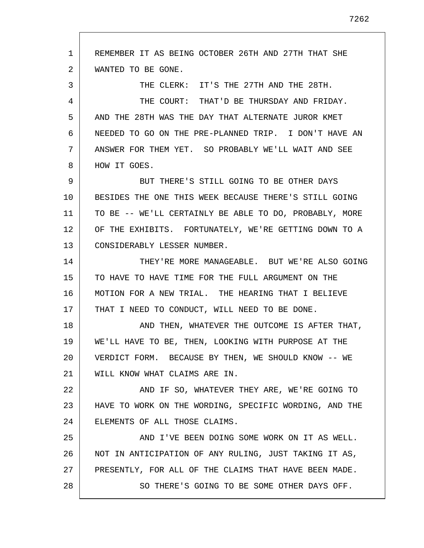1 2 3 4 5 6 7 8 9 10 11 12 13 14 15 16 17 18 19 20 21 22 23 24 25 26 27 28 REMEMBER IT AS BEING OCTOBER 26TH AND 27TH THAT SHE WANTED TO BE GONE. THE CLERK: IT'S THE 27TH AND THE 28TH. THE COURT: THAT'D BE THURSDAY AND FRIDAY. AND THE 28TH WAS THE DAY THAT ALTERNATE JUROR KMET NEEDED TO GO ON THE PRE-PLANNED TRIP. I DON'T HAVE AN ANSWER FOR THEM YET. SO PROBABLY WE'LL WAIT AND SEE HOW IT GOES. BUT THERE'S STILL GOING TO BE OTHER DAYS BESIDES THE ONE THIS WEEK BECAUSE THERE'S STILL GOING TO BE -- WE'LL CERTAINLY BE ABLE TO DO, PROBABLY, MORE OF THE EXHIBITS. FORTUNATELY, WE'RE GETTING DOWN TO A CONSIDERABLY LESSER NUMBER. THEY'RE MORE MANAGEABLE. BUT WE'RE ALSO GOING TO HAVE TO HAVE TIME FOR THE FULL ARGUMENT ON THE MOTION FOR A NEW TRIAL. THE HEARING THAT I BELIEVE THAT I NEED TO CONDUCT, WILL NEED TO BE DONE. AND THEN, WHATEVER THE OUTCOME IS AFTER THAT, WE'LL HAVE TO BE, THEN, LOOKING WITH PURPOSE AT THE VERDICT FORM. BECAUSE BY THEN, WE SHOULD KNOW -- WE WILL KNOW WHAT CLAIMS ARE IN. AND IF SO, WHATEVER THEY ARE, WE'RE GOING TO HAVE TO WORK ON THE WORDING, SPECIFIC WORDING, AND THE ELEMENTS OF ALL THOSE CLAIMS. AND I'VE BEEN DOING SOME WORK ON IT AS WELL. NOT IN ANTICIPATION OF ANY RULING, JUST TAKING IT AS, PRESENTLY, FOR ALL OF THE CLAIMS THAT HAVE BEEN MADE. SO THERE'S GOING TO BE SOME OTHER DAYS OFF.